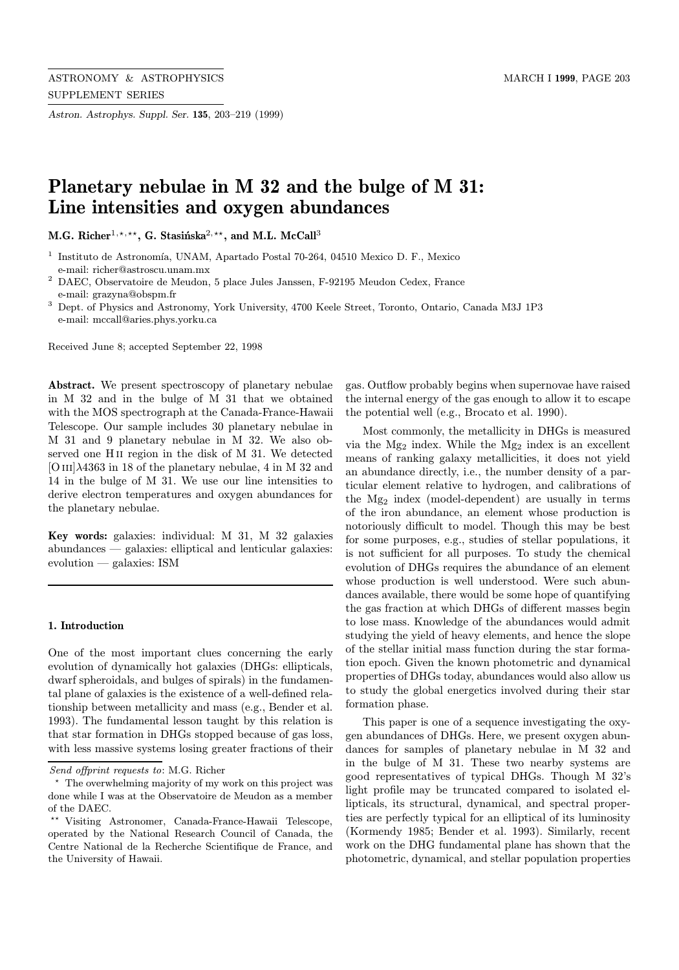Astron. Astrophys. Suppl. Ser. 135, 203–219 (1999)

# Planetary nebulae in M 32 and the bulge of M 31: Line intensities and oxygen abundances

M.G. Richer<sup>1,\*,\*\*</sup>, G. Stasińska<sup>2,\*\*</sup>, and M.L. McCall<sup>3</sup>

- <sup>2</sup> DAEC, Observatoire de Meudon, 5 place Jules Janssen, F-92195 Meudon Cedex, France e-mail: grazyna@obspm.fr
- <sup>3</sup> Dept. of Physics and Astronomy, York University, 4700 Keele Street, Toronto, Ontario, Canada M3J 1P3 e-mail: mccall@aries.phys.yorku.ca

Received June 8; accepted September 22, 1998

Abstract. We present spectroscopy of planetary nebulae in M 32 and in the bulge of M 31 that we obtained with the MOS spectrograph at the Canada-France-Hawaii Telescope. Our sample includes 30 planetary nebulae in M 31 and 9 planetary nebulae in M 32. We also observed one H<sub>II</sub> region in the disk of M 31. We detected  $[O III]\lambda4363$  in 18 of the planetary nebulae, 4 in M 32 and 14 in the bulge of M 31. We use our line intensities to derive electron temperatures and oxygen abundances for the planetary nebulae.

Key words: galaxies: individual: M 31, M 32 galaxies abundances — galaxies: elliptical and lenticular galaxies: evolution — galaxies: ISM

### 1. Introduction

One of the most important clues concerning the early evolution of dynamically hot galaxies (DHGs: ellipticals, dwarf spheroidals, and bulges of spirals) in the fundamental plane of galaxies is the existence of a well-defined relationship between metallicity and mass (e.g., Bender et al. 1993). The fundamental lesson taught by this relation is that star formation in DHGs stopped because of gas loss, with less massive systems losing greater fractions of their gas. Outflow probably begins when supernovae have raised the internal energy of the gas enough to allow it to escape the potential well (e.g., Brocato et al. 1990).

Most commonly, the metallicity in DHGs is measured via the Mg<sup>2</sup> index. While the Mg<sup>2</sup> index is an excellent means of ranking galaxy metallicities, it does not yield an abundance directly, i.e., the number density of a particular element relative to hydrogen, and calibrations of the Mg<sup>2</sup> index (model-dependent) are usually in terms of the iron abundance, an element whose production is notoriously difficult to model. Though this may be best for some purposes, e.g., studies of stellar populations, it is not sufficient for all purposes. To study the chemical evolution of DHGs requires the abundance of an element whose production is well understood. Were such abundances available, there would be some hope of quantifying the gas fraction at which DHGs of different masses begin to lose mass. Knowledge of the abundances would admit studying the yield of heavy elements, and hence the slope of the stellar initial mass function during the star formation epoch. Given the known photometric and dynamical properties of DHGs today, abundances would also allow us to study the global energetics involved during their star formation phase.

This paper is one of a sequence investigating the oxygen abundances of DHGs. Here, we present oxygen abundances for samples of planetary nebulae in M 32 and in the bulge of M 31. These two nearby systems are good representatives of typical DHGs. Though M 32's light profile may be truncated compared to isolated ellipticals, its structural, dynamical, and spectral properties are perfectly typical for an elliptical of its luminosity (Kormendy 1985; Bender et al. 1993). Similarly, recent work on the DHG fundamental plane has shown that the photometric, dynamical, and stellar population properties

 $^{\rm 1}$  Instituto de Astronomía, UNAM, Apartado Postal 70-264, 04510 Mexico D. F., Mexico e-mail: richer@astroscu.unam.mx

Send offprint requests to: M.G. Richer

<sup>?</sup> The overwhelming majority of my work on this project was done while I was at the Observatoire de Meudon as a member of the DAEC.

<sup>??</sup> Visiting Astronomer, Canada-France-Hawaii Telescope, operated by the National Research Council of Canada, the Centre National de la Recherche Scientifique de France, and the University of Hawaii.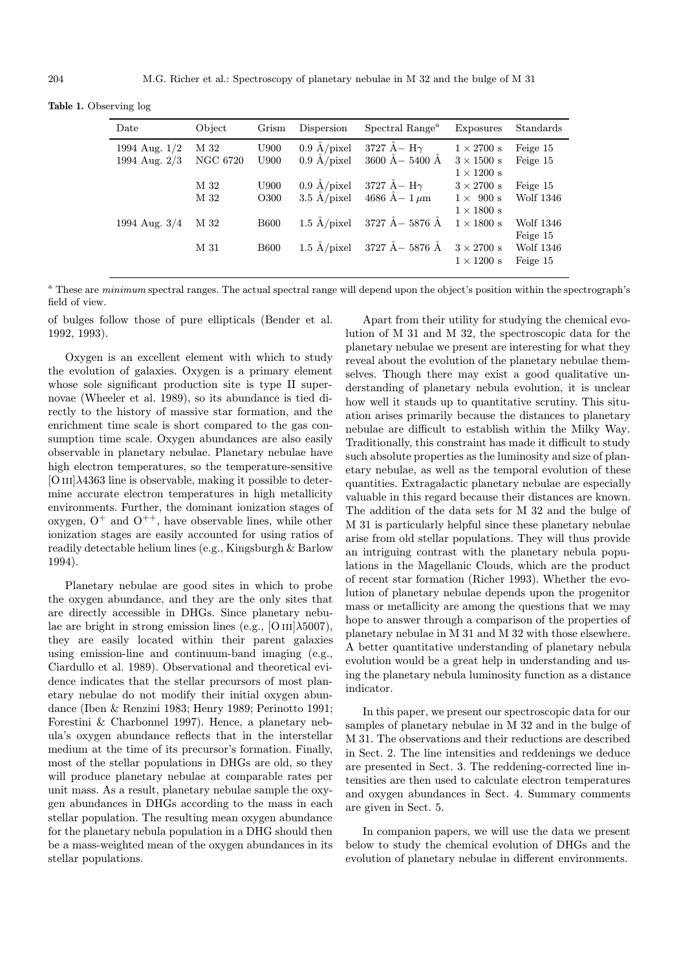Table 1. Observing log

| Date                             | Object                  | Grism        | Dispersion                                     | Spectral Range <sup><math>a</math></sup>       | Exposures                                                   | Standards                    |
|----------------------------------|-------------------------|--------------|------------------------------------------------|------------------------------------------------|-------------------------------------------------------------|------------------------------|
| 1994 Aug. 1/2<br>1994 Aug. $2/3$ | M 32<br><b>NGC 6720</b> | U900<br>U900 | $0.9 \text{ Å/pixel}$<br>$0.9 \text{ Å/pixel}$ | 3727 $\AA$ – H $\gamma$<br>$3600$ Å $- 5400$ Å | $1 \times 2700$ s<br>$3 \times 1500$ s<br>$1 \times 1200$ s | Feige 15<br>Feige 15         |
|                                  | M 32<br>M 32            | U900<br>O300 | $0.9 \text{ Å/pixel}$<br>$3.5 \text{ Å/pixel}$ | 3727 $\AA$ – H $\gamma$<br>4686 A – $1 \mu m$  | $3 \times 2700$ s<br>$1 \times 900$ s<br>$1 \times 1800$ s  | Feige 15<br>Wolf 1346        |
| 1994 Aug. $3/4$                  | M 32                    | <b>B600</b>  | $1.5 \text{ Å/pixel}$                          | 3727 Å– 5876 Å                                 | $1 \times 1800$ s                                           | Wolf 1346<br>Feige 15        |
|                                  | M 31                    | <b>B600</b>  | $1.5 \text{ A/pixel}$                          | 3727 Å– 5876 Å                                 | $3 \times 2700$ s<br>$1 \times 1200$ s                      | <b>Wolf 1346</b><br>Feige 15 |

<sup>a</sup> These are *minimum* spectral ranges. The actual spectral range will depend upon the object's position within the spectrograph's field of view.

of bulges follow those of pure ellipticals (Bender et al. 1992, 1993).

Oxygen is an excellent element with which to study the evolution of galaxies. Oxygen is a primary element whose sole significant production site is type II supernovae (Wheeler et al. 1989), so its abundance is tied directly to the history of massive star formation, and the enrichment time scale is short compared to the gas consumption time scale. Oxygen abundances are also easily observable in planetary nebulae. Planetary nebulae have high electron temperatures, so the temperature-sensitive  $[O III]\lambda4363$  line is observable, making it possible to determine accurate electron temperatures in high metallicity environments. Further, the dominant ionization stages of oxygen,  $O^+$  and  $O^{++}$ , have observable lines, while other ionization stages are easily accounted for using ratios of readily detectable helium lines (e.g., Kingsburgh & Barlow 1994).

Planetary nebulae are good sites in which to probe the oxygen abundance, and they are the only sites that are directly accessible in DHGs. Since planetary nebulae are bright in strong emission lines (e.g., [O  $\text{III}$ ] $\lambda$ 5007), they are easily located within their parent galaxies using emission-line and continuum-band imaging (e.g., Ciardullo et al. 1989). Observational and theoretical evidence indicates that the stellar precursors of most planetary nebulae do not modify their initial oxygen abundance (Iben & Renzini 1983; Henry 1989; Perinotto 1991; Forestini & Charbonnel 1997). Hence, a planetary nebula's oxygen abundance reflects that in the interstellar medium at the time of its precursor's formation. Finally, most of the stellar populations in DHGs are old, so they will produce planetary nebulae at comparable rates per unit mass. As a result, planetary nebulae sample the oxygen abundances in DHGs according to the mass in each stellar population. The resulting mean oxygen abundance for the planetary nebula population in a DHG should then be a mass-weighted mean of the oxygen abundances in its stellar populations.

Apart from their utility for studying the chemical evolution of M 31 and M 32, the spectroscopic data for the planetary nebulae we present are interesting for what they reveal about the evolution of the planetary nebulae themselves. Though there may exist a good qualitative understanding of planetary nebula evolution, it is unclear how well it stands up to quantitative scrutiny. This situation arises primarily because the distances to planetary nebulae are difficult to establish within the Milky Way. Traditionally, this constraint has made it difficult to study such absolute properties as the luminosity and size of planetary nebulae, as well as the temporal evolution of these quantities. Extragalactic planetary nebulae are especially valuable in this regard because their distances are known. The addition of the data sets for M 32 and the bulge of M 31 is particularly helpful since these planetary nebulae arise from old stellar populations. They will thus provide an intriguing contrast with the planetary nebula populations in the Magellanic Clouds, which are the product of recent star formation (Richer 1993). Whether the evolution of planetary nebulae depends upon the progenitor mass or metallicity are among the questions that we may hope to answer through a comparison of the properties of planetary nebulae in M 31 and M 32 with those elsewhere. A better quantitative understanding of planetary nebula evolution would be a great help in understanding and using the planetary nebula luminosity function as a distance indicator.

In this paper, we present our spectroscopic data for our samples of planetary nebulae in M 32 and in the bulge of M 31. The observations and their reductions are described in Sect. 2. The line intensities and reddenings we deduce are presented in Sect. 3. The reddening-corrected line intensities are then used to calculate electron temperatures and oxygen abundances in Sect. 4. Summary comments are given in Sect. 5.

In companion papers, we will use the data we present below to study the chemical evolution of DHGs and the evolution of planetary nebulae in different environments.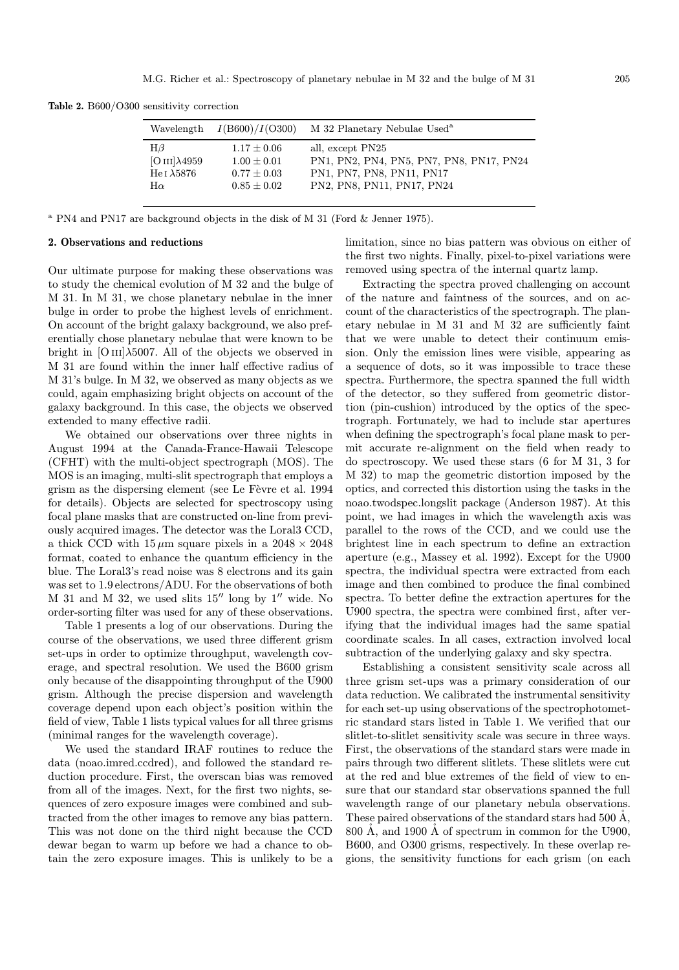| Wavelength            | $I($ B600 $)/I($ O300 $)$ | M 32 Planetary Nebulae Used <sup>a</sup> |
|-----------------------|---------------------------|------------------------------------------|
| $H\beta$              | $1.17 \pm 0.06$           | all, except PN25                         |
| $[O III]\lambda 4959$ | $1.00 \pm 0.01$           | PN1, PN2, PN4, PN5, PN7, PN8, PN17, PN24 |
| He J $\lambda$ 5876   | $0.77 + 0.03$             | PN1, PN7, PN8, PN11, PN17                |
| $H\alpha$             | $0.85 + 0.02$             | PN2, PN8, PN11, PN17, PN24               |

Table 2. B600/O300 sensitivity correction

<sup>a</sup> PN4 and PN17 are background objects in the disk of M 31 (Ford & Jenner 1975).

## 2. Observations and reductions

Our ultimate purpose for making these observations was to study the chemical evolution of M 32 and the bulge of M 31. In M 31, we chose planetary nebulae in the inner bulge in order to probe the highest levels of enrichment. On account of the bright galaxy background, we also preferentially chose planetary nebulae that were known to be bright in  $[O III]\lambda 5007$ . All of the objects we observed in M 31 are found within the inner half effective radius of M 31's bulge. In M 32, we observed as many objects as we could, again emphasizing bright objects on account of the galaxy background. In this case, the objects we observed extended to many effective radii.

We obtained our observations over three nights in August 1994 at the Canada-France-Hawaii Telescope (CFHT) with the multi-object spectrograph (MOS). The MOS is an imaging, multi-slit spectrograph that employs a grism as the dispersing element (see Le Fèvre et al. 1994 for details). Objects are selected for spectroscopy using focal plane masks that are constructed on-line from previously acquired images. The detector was the Loral3 CCD, a thick CCD with  $15 \mu m$  square pixels in a  $2048 \times 2048$ format, coated to enhance the quantum efficiency in the blue. The Loral3's read noise was 8 electrons and its gain was set to 1.9 electrons/ADU. For the observations of both  $M$  31 and  $M$  32, we used slits 15<sup> $\prime\prime$ </sup> long by 1<sup> $\prime\prime$ </sup> wide. No order-sorting filter was used for any of these observations.

Table 1 presents a log of our observations. During the course of the observations, we used three different grism set-ups in order to optimize throughput, wavelength coverage, and spectral resolution. We used the B600 grism only because of the disappointing throughput of the U900 grism. Although the precise dispersion and wavelength coverage depend upon each object's position within the field of view, Table 1 lists typical values for all three grisms (minimal ranges for the wavelength coverage).

We used the standard IRAF routines to reduce the data (noao.imred.ccdred), and followed the standard reduction procedure. First, the overscan bias was removed from all of the images. Next, for the first two nights, sequences of zero exposure images were combined and subtracted from the other images to remove any bias pattern. This was not done on the third night because the CCD dewar began to warm up before we had a chance to obtain the zero exposure images. This is unlikely to be a limitation, since no bias pattern was obvious on either of the first two nights. Finally, pixel-to-pixel variations were removed using spectra of the internal quartz lamp.

Extracting the spectra proved challenging on account of the nature and faintness of the sources, and on account of the characteristics of the spectrograph. The planetary nebulae in M 31 and M 32 are sufficiently faint that we were unable to detect their continuum emission. Only the emission lines were visible, appearing as a sequence of dots, so it was impossible to trace these spectra. Furthermore, the spectra spanned the full width of the detector, so they suffered from geometric distortion (pin-cushion) introduced by the optics of the spectrograph. Fortunately, we had to include star apertures when defining the spectrograph's focal plane mask to permit accurate re-alignment on the field when ready to do spectroscopy. We used these stars (6 for M 31, 3 for M 32) to map the geometric distortion imposed by the optics, and corrected this distortion using the tasks in the noao.twodspec.longslit package (Anderson 1987). At this point, we had images in which the wavelength axis was parallel to the rows of the CCD, and we could use the brightest line in each spectrum to define an extraction aperture (e.g., Massey et al. 1992). Except for the U900 spectra, the individual spectra were extracted from each image and then combined to produce the final combined spectra. To better define the extraction apertures for the U900 spectra, the spectra were combined first, after verifying that the individual images had the same spatial coordinate scales. In all cases, extraction involved local subtraction of the underlying galaxy and sky spectra.

Establishing a consistent sensitivity scale across all three grism set-ups was a primary consideration of our data reduction. We calibrated the instrumental sensitivity for each set-up using observations of the spectrophotometric standard stars listed in Table 1. We verified that our slitlet-to-slitlet sensitivity scale was secure in three ways. First, the observations of the standard stars were made in pairs through two different slitlets. These slitlets were cut at the red and blue extremes of the field of view to ensure that our standard star observations spanned the full wavelength range of our planetary nebula observations. These paired observations of the standard stars had 500  $\AA$ , 800 Å, and 1900 Å of spectrum in common for the U900, B600, and O300 grisms, respectively. In these overlap regions, the sensitivity functions for each grism (on each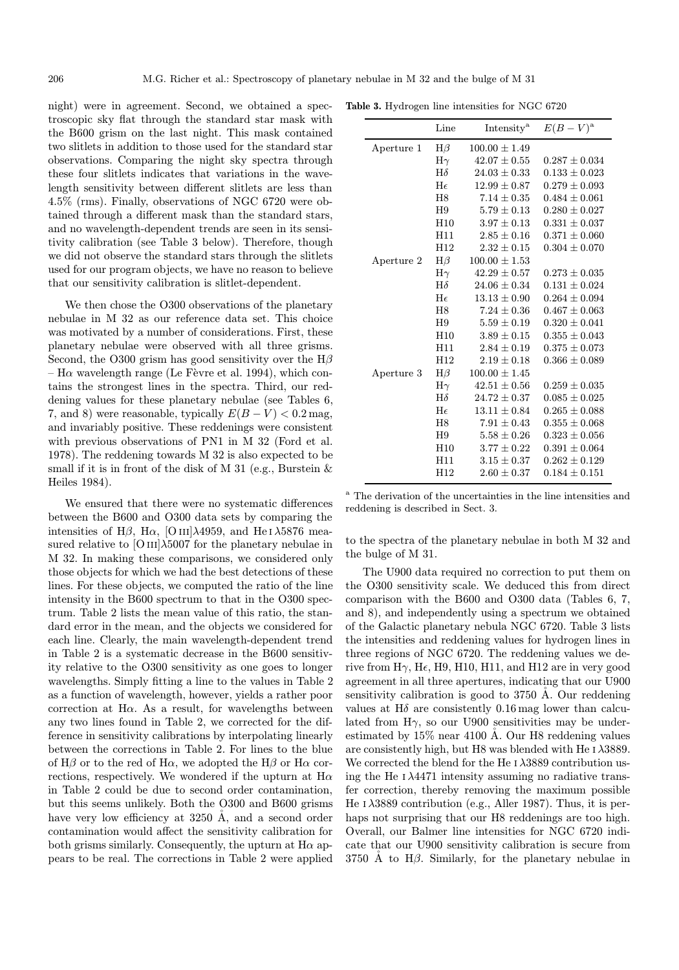night) were in agreement. Second, we obtained a spectroscopic sky flat through the standard star mask with the B600 grism on the last night. This mask contained two slitlets in addition to those used for the standard star observations. Comparing the night sky spectra through these four slitlets indicates that variations in the wavelength sensitivity between different slitlets are less than 4.5% (rms). Finally, observations of NGC 6720 were obtained through a different mask than the standard stars, and no wavelength-dependent trends are seen in its sensitivity calibration (see Table 3 below). Therefore, though we did not observe the standard stars through the slitlets used for our program objects, we have no reason to believe that our sensitivity calibration is slitlet-dependent.

We then chose the O300 observations of the planetary nebulae in M 32 as our reference data set. This choice was motivated by a number of considerations. First, these planetary nebulae were observed with all three grisms. Second, the O300 grism has good sensitivity over the  $H\beta$ – H $\alpha$  wavelength range (Le Fèvre et al. 1994), which contains the strongest lines in the spectra. Third, our reddening values for these planetary nebulae (see Tables 6, 7, and 8) were reasonable, typically  $E(B-V) < 0.2$  mag, and invariably positive. These reddenings were consistent with previous observations of PN1 in M 32 (Ford et al. 1978). The reddening towards M 32 is also expected to be small if it is in front of the disk of M 31 (e.g., Burstein & Heiles 1984).

We ensured that there were no systematic differences between the B600 and O300 data sets by comparing the intensities of H $\beta$ , H $\alpha$ , [O III] $\lambda$ 4959, and He I $\lambda$ 5876 measured relative to  $[OIII]\lambda5007$  for the planetary nebulae in M 32. In making these comparisons, we considered only those objects for which we had the best detections of these lines. For these objects, we computed the ratio of the line intensity in the B600 spectrum to that in the O300 spectrum. Table 2 lists the mean value of this ratio, the standard error in the mean, and the objects we considered for each line. Clearly, the main wavelength-dependent trend in Table 2 is a systematic decrease in the B600 sensitivity relative to the O300 sensitivity as one goes to longer wavelengths. Simply fitting a line to the values in Table 2 as a function of wavelength, however, yields a rather poor correction at H $\alpha$ . As a result, for wavelengths between any two lines found in Table 2, we corrected for the difference in sensitivity calibrations by interpolating linearly between the corrections in Table 2. For lines to the blue of H $\beta$  or to the red of H $\alpha$ , we adopted the H $\beta$  or H $\alpha$  corrections, respectively. We wondered if the upturn at  $H\alpha$ in Table 2 could be due to second order contamination, but this seems unlikely. Both the O300 and B600 grisms have very low efficiency at 3250 Å, and a second order contamination would affect the sensitivity calibration for both grisms similarly. Consequently, the upturn at  $H\alpha$  appears to be real. The corrections in Table 2 were applied

Table 3. Hydrogen line intensities for NGC 6720

|            | Line               | Intensity <sup>a</sup> | $E(B-V)^{a}$      |
|------------|--------------------|------------------------|-------------------|
| Aperture 1 | $H\beta$           | $100.00 \pm 1.49$      |                   |
|            | $\mathrm{H}\gamma$ | $42.07 \pm 0.55$       | $0.287 \pm 0.034$ |
|            | $H\delta$          | $24.03 \pm 0.33$       | $0.133 \pm 0.023$ |
|            | He                 | $12.99 \pm 0.87$       | $0.279 \pm 0.093$ |
|            | H <sub>8</sub>     | $7.14 + 0.35$          | $0.484 + 0.061$   |
|            | H9                 | $5.79 \pm 0.13$        | $0.280 \pm 0.027$ |
|            | H <sub>10</sub>    | $3.97 \pm 0.13$        | $0.331 \pm 0.037$ |
|            | H11                | $2.85 \pm 0.16$        | $0.371 \pm 0.060$ |
|            | H12                | $2.32 \pm 0.15$        | $0.304 \pm 0.070$ |
| Aperture 2 | $H\beta$           | $100.00 \pm 1.53$      |                   |
|            | $\mathrm{H}\gamma$ | $42.29 \pm 0.57$       | $0.273 \pm 0.035$ |
|            | $H\delta$          | $24.06 + 0.34$         | $0.131 + 0.024$   |
|            | He                 | $13.13 \pm 0.90$       | $0.264 \pm 0.094$ |
|            | H <sub>8</sub>     | $7.24 + 0.36$          | $0.467 + 0.063$   |
|            | H <sub>9</sub>     | $5.59 \pm 0.19$        | $0.320 \pm 0.041$ |
|            | H10                | $3.89 + 0.15$          | $0.355 + 0.043$   |
|            | H11                | $2.84 \pm 0.19$        | $0.375 \pm 0.073$ |
|            | H12                | $2.19 \pm 0.18$        | $0.366 \pm 0.089$ |
| Aperture 3 | $H\beta$           | $100.00 \pm 1.45$      |                   |
|            | $H\gamma$          | $42.51 \pm 0.56$       | $0.259 \pm 0.035$ |
|            | $H\delta$          | $24.72 \pm 0.37$       | $0.085 \pm 0.025$ |
|            | He                 | $13.11 \pm 0.84$       | $0.265 \pm 0.088$ |
|            | H <sub>8</sub>     | $7.91 \pm 0.43$        | $0.355 \pm 0.068$ |
|            | H9                 | $5.58 \pm 0.26$        | $0.323 \pm 0.056$ |
|            | H10                | $3.77 \pm 0.22$        | $0.391 \pm 0.064$ |
|            | H11                | $3.15 \pm 0.37$        | $0.262 \pm 0.129$ |
|            | H12                | $2.60 \pm 0.37$        | $0.184 \pm 0.151$ |
|            |                    |                        |                   |

<sup>a</sup> The derivation of the uncertainties in the line intensities and reddening is described in Sect. 3.

to the spectra of the planetary nebulae in both M 32 and the bulge of M 31.

The U900 data required no correction to put them on the O300 sensitivity scale. We deduced this from direct comparison with the B600 and O300 data (Tables 6, 7, and 8), and independently using a spectrum we obtained of the Galactic planetary nebula NGC 6720. Table 3 lists the intensities and reddening values for hydrogen lines in three regions of NGC 6720. The reddening values we derive from  $H\gamma$ , H $\epsilon$ , H9, H10, H11, and H12 are in very good agreement in all three apertures, indicating that our U900 sensitivity calibration is good to  $3750$  Å. Our reddening values at  $H\delta$  are consistently 0.16 mag lower than calculated from  $H\gamma$ , so our U900 sensitivities may be underestimated by  $15\%$  near 4100 Å. Our H8 reddening values are consistently high, but H8 was blended with He  $\alpha$   $\lambda$ 3889. We corrected the blend for the He  $1\lambda$ 3889 contribution using the He  $I \lambda 4471$  intensity assuming no radiative transfer correction, thereby removing the maximum possible He  $\lambda$ 3889 contribution (e.g., Aller 1987). Thus, it is perhaps not surprising that our H8 reddenings are too high. Overall, our Balmer line intensities for NGC 6720 indicate that our U900 sensitivity calibration is secure from 3750 Å to  $H\beta$ . Similarly, for the planetary nebulae in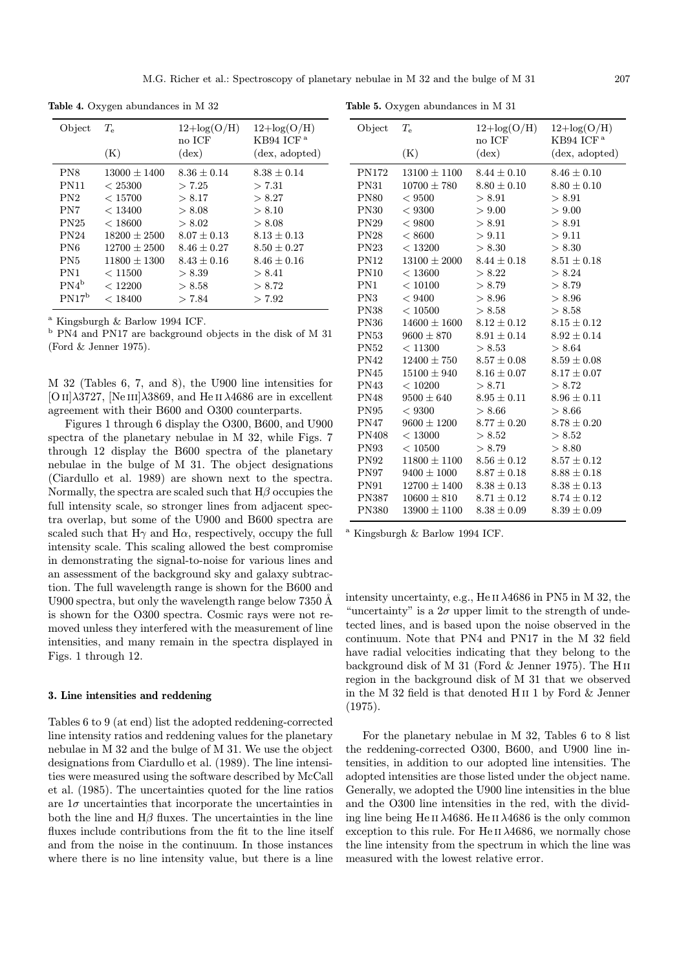M.G. Richer et al.: Spectroscopy of planetary nebulae in M 32 and the bulge of M 31 207

| Object          | $T_{\rm e}$<br>(K) | $12 + \log(O/H)$<br>no ICF<br>$(\text{dex})$ | $12 + \log(O/H)$<br>$KB94$ ICF <sup>a</sup><br>(dex, adopted) |
|-----------------|--------------------|----------------------------------------------|---------------------------------------------------------------|
| PN <sub>8</sub> | $13000 + 1400$     | $8.36 \pm 0.14$                              | $8.38 + 0.14$                                                 |
| <b>PN11</b>     | < 25300            | > 7.25                                       | > 7.31                                                        |
| PN2             | < 15700            | > 8.17                                       | > 8.27                                                        |
| PN7             | < 13400            | > 8.08                                       | > 8.10                                                        |
| PN25            | < 18600            | > 8.02                                       | > 8.08                                                        |
| <b>PN24</b>     | $18200 \pm 2500$   | $8.07 \pm 0.13$                              | $8.13 \pm 0.13$                                               |
| PN <sub>6</sub> | $12700 + 2500$     | $8.46 + 0.27$                                | $8.50 + 0.27$                                                 |
| PN <sub>5</sub> | $11800 \pm 1300$   | $8.43 \pm 0.16$                              | $8.46 \pm 0.16$                                               |
| PN <sub>1</sub> | < 11500            | > 8.39                                       | > 8.41                                                        |
| $PN4^b$         | < 12200            | > 8.58                                       | > 8.72                                                        |
| $PN17^b$        | < 18400            | > 7.84                                       | > 7.92                                                        |

Table 4. Oxygen abundances in M 32

 $^{\rm a}$ Kingsburgh & Barlow 1994 ICF.

 $^{\rm b}$  PN4 and PN17 are background objects in the disk of M 31 (Ford & Jenner 1975).

M 32 (Tables 6, 7, and 8), the U900 line intensities for [O II] $\lambda$ 3727, [Ne III] $\lambda$ 3869, and He II  $\lambda$ 4686 are in excellent agreement with their B600 and O300 counterparts.

Figures 1 through 6 display the O300, B600, and U900 spectra of the planetary nebulae in M 32, while Figs. 7 through 12 display the B600 spectra of the planetary nebulae in the bulge of M 31. The object designations (Ciardullo et al. 1989) are shown next to the spectra. Normally, the spectra are scaled such that  $H\beta$  occupies the full intensity scale, so stronger lines from adjacent spectra overlap, but some of the U900 and B600 spectra are scaled such that  $H\gamma$  and  $H\alpha$ , respectively, occupy the full intensity scale. This scaling allowed the best compromise in demonstrating the signal-to-noise for various lines and an assessment of the background sky and galaxy subtraction. The full wavelength range is shown for the B600 and U900 spectra, but only the wavelength range below  $7350 \text{\AA}$ is shown for the O300 spectra. Cosmic rays were not removed unless they interfered with the measurement of line intensities, and many remain in the spectra displayed in Figs. 1 through 12.

## 3. Line intensities and reddening

Tables 6 to 9 (at end) list the adopted reddening-corrected line intensity ratios and reddening values for the planetary nebulae in M 32 and the bulge of M 31. We use the object designations from Ciardullo et al. (1989). The line intensities were measured using the software described by McCall et al. (1985). The uncertainties quoted for the line ratios are  $1\sigma$  uncertainties that incorporate the uncertainties in both the line and  $H\beta$  fluxes. The uncertainties in the line fluxes include contributions from the fit to the line itself and from the noise in the continuum. In those instances where there is no line intensity value, but there is a line

| Object          | $T_{\rm e}$<br>(K)              | $12 + \log(O/H)$<br>no ICF<br>$(\text{dex})$ | $12 + \log(O/H)$<br>$KB94$ ICF <sup>a</sup><br>(dex, adopted) |
|-----------------|---------------------------------|----------------------------------------------|---------------------------------------------------------------|
| PN172           | $13100 \pm 1100$                | $8.44 \pm 0.10$                              | $8.46 \pm 0.10$                                               |
| PN31            | $10700 \pm 780$                 | $8.80 \pm 0.10$                              | $8.80 \pm 0.10$                                               |
| <b>PN80</b>     | ${}< 9500$                      | > 8.91                                       | > 8.91                                                        |
| PN30            | < 9300                          | > 9.00                                       | > 9.00                                                        |
| PN29            | < 9800                          | > 8.91                                       | > 8.91                                                        |
| PN28            | < 8600                          | > 9.11                                       | > 9.11                                                        |
| PN23            | < 13200                         | > 8.30                                       | > 8.30                                                        |
| PN12            | $13100 \pm 2000$                | $8.44 \pm 0.18$                              | $8.51 \pm 0.18$                                               |
| $\mathrm{PN}10$ | < 13600                         | > 8.22                                       | > 8.24                                                        |
| PN1             | < 10100                         | > 8.79                                       | > 8.79                                                        |
| $\mathrm{PN3}$  | < 9400                          | > 8.96                                       | > 8.96                                                        |
| PN38            | < 10500                         | > 8.58                                       | > 8.58                                                        |
| PN36            | $14600 \pm 1600$                | $8.12 \pm 0.12$                              | $8.15 \pm 0.12$                                               |
| PN53            | $9600 \pm 870$                  | $8.91 \pm 0.14$                              | $8.92 \pm 0.14$                                               |
| PN52            | < 11300                         | > 8.53                                       | > 8.64                                                        |
| PN42            | $12400 \pm 750$                 | $8.57\pm0.08$                                | $8.59 \pm 0.08$                                               |
| PN45            | $15100 \pm 940$ $8.16 \pm 0.07$ |                                              | $8.17 \pm 0.07$                                               |
| PN43            | < 10200                         | > 8.71                                       | > 8.72                                                        |
| PN48            | $9500 \pm 640$                  | $8.95\pm0.11$                                | $8.96 \pm 0.11$                                               |
| PN95            | < 9300                          | > 8.66                                       | > 8.66                                                        |
| $\rm PN47$      | $9600 \pm 1200$ $8.77 \pm 0.20$ |                                              | $8.78 \pm 0.20$                                               |
| PN408           | < 13000                         | > 8.52                                       | > 8.52                                                        |
| PN93            | < 10500                         | > 8.79                                       | > 8.80                                                        |
| PN92            | $11800 \pm 1100$                | $8.56\pm0.12$                                | $8.57 \pm 0.12$                                               |
| PN97            | $9400 \pm 1000$                 | $8.87\pm0.18$                                | $8.88 \pm 0.18$                                               |
| <b>PN91</b>     |                                 | $12700 \pm 1400$ $8.38 \pm 0.13$             | $8.38 \pm 0.13$                                               |
| PN387           | $10600 \pm 810$                 | $8.71 \pm 0.12$                              | $8.74 \pm 0.12$                                               |

Table 5. Oxygen abundances in M 31

<sup>a</sup> Kingsburgh & Barlow 1994 ICF.

intensity uncertainty, e.g., He II  $\lambda$ 4686 in PN5 in M 32, the "uncertainty" is a  $2\sigma$  upper limit to the strength of undetected lines, and is based upon the noise observed in the continuum. Note that PN4 and PN17 in the M 32 field have radial velocities indicating that they belong to the background disk of M 31 (Ford & Jenner 1975). The H ii region in the background disk of M 31 that we observed in the M 32 field is that denoted H ii 1 by Ford & Jenner (1975).

PN380  $13900 \pm 1100$   $8.38 \pm 0.09$   $8.39 \pm 0.09$ 

For the planetary nebulae in M 32, Tables 6 to 8 list the reddening-corrected O300, B600, and U900 line intensities, in addition to our adopted line intensities. The adopted intensities are those listed under the object name. Generally, we adopted the U900 line intensities in the blue and the O300 line intensities in the red, with the dividing line being He II  $\lambda$ 4686. He II  $\lambda$ 4686 is the only common exception to this rule. For He II  $\lambda$ 4686, we normally chose the line intensity from the spectrum in which the line was measured with the lowest relative error.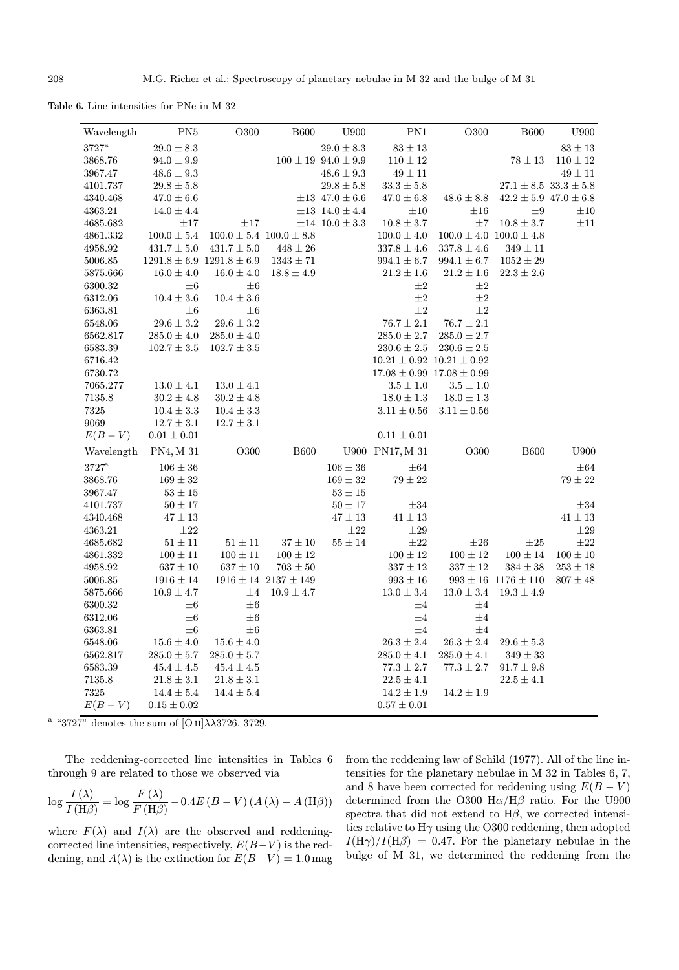Table 6. Line intensities for PNe in M 32

| Wavelength     | $\mathrm{PN5}$  | O300                              | <b>B600</b>                     | U900                           | $\mathrm{PN}1$  | O300                              | <b>B600</b>                     | U900         |
|----------------|-----------------|-----------------------------------|---------------------------------|--------------------------------|-----------------|-----------------------------------|---------------------------------|--------------|
| $3727^{\rm a}$ | $29.0 \pm 8.3$  |                                   |                                 | $29.0 \pm 8.3$                 | $83\pm13$       |                                   |                                 | $83\pm13$    |
| 3868.76        | $94.0 \pm 9.9$  |                                   |                                 | $100 \pm 19\  \, 94.0 \pm 9.9$ | $110 \pm 12$    |                                   | $78\pm13$                       | $110\pm12$   |
| 3967.47        | $48.6 \pm 9.3$  |                                   |                                 | $48.6 \pm 9.3$                 | $49\pm11$       |                                   |                                 | $49\pm11$    |
| 4101.737       | $29.8 \pm 5.8$  |                                   |                                 | $29.8 \pm 5.8$                 | $33.3 \pm 5.8$  |                                   | $27.1 \pm 8.5$ $33.3 \pm 5.8$   |              |
| 4340.468       | $47.0 \pm 6.6$  |                                   |                                 | $\pm 13$ 47.0 $\pm$ 6.6        | $47.0 \pm 6.8$  | $48.6 \pm 8.8$                    | $42.2 \pm 5.9$ $47.0 \pm 6.8$   |              |
| 4363.21        | $14.0 \pm 4.4$  |                                   |                                 | $\pm 13$ 14.0 $\pm$ 4.4        | $\pm 10$        | $\pm 16$                          | $\pm 9$                         | $\pm 10$     |
| 4685.682       | $\pm 17$        | $\pm 17$                          |                                 | $\pm 14$ 10.0 $\pm$ 3.3        | $10.8\pm3.7$    | $\pm7$                            | $10.8\pm3.7$                    | $\pm 11$     |
| 4861.332       | $100.0 \pm 5.4$ |                                   | $100.0 \pm 5.4$ $100.0 \pm 8.8$ |                                | $100.0 \pm 4.0$ |                                   | $100.0 \pm 4.0$ $100.0 \pm 4.8$ |              |
| $\!958.92$     | $431.7 \pm 5.0$ | $431.7 \pm 5.0$                   | $448 \pm 26$                    |                                | $337.8 \pm 4.6$ | $337.8 \pm 4.6$                   | $349 \pm 11$                    |              |
| 5006.85        |                 | $1291.8 \pm 6.9$ $1291.8 \pm 6.9$ | $1343\pm71$                     |                                | $994.1 \pm 6.7$ | $994.1 \pm 6.7$                   | $1052 \pm 29$                   |              |
| 5875.666       | $16.0 \pm 4.0$  | $16.0 \pm 4.0$                    | $18.8 \pm 4.9$                  |                                | $21.2 \pm 1.6$  | $21.2 \pm 1.6$                    | $22.3 \pm 2.6$                  |              |
| 6300.32        | $\pm 6$         | $\pm 6$                           |                                 |                                | $\pm 2$         | $\pm 2$                           |                                 |              |
| 6312.06        | $10.4 \pm 3.6$  | $10.4 \pm 3.6$                    |                                 |                                | $\pm 2$         | $\pm 2$                           |                                 |              |
| 6363.81        | $\pm 6$         | $\pm 6$                           |                                 |                                | $\pm 2$         | $\pm 2$                           |                                 |              |
| 6548.06        | $29.6 \pm 3.2$  | $29.6 \pm 3.2$                    |                                 |                                | $76.7\pm2.1$    | $76.7 \pm 2.1$                    |                                 |              |
| 6562.817       | $285.0 \pm 4.0$ | $285.0 \pm 4.0$                   |                                 |                                | $285.0 \pm 2.7$ | $285.0 \pm 2.7$                   |                                 |              |
| 6583.39        | $102.7 \pm 3.5$ | $102.7 \pm 3.5$                   |                                 |                                | $230.6\pm2.5$   | $230.6 \pm 2.5$                   |                                 |              |
| 6716.42        |                 |                                   |                                 |                                |                 | $10.21 \pm 0.92$ $10.21 \pm 0.92$ |                                 |              |
| 6730.72        |                 |                                   |                                 |                                |                 | $17.08 \pm 0.99$ $17.08 \pm 0.99$ |                                 |              |
| 7065.277       | $13.0 \pm 4.1$  | $13.0 \pm 4.1$                    |                                 |                                | $3.5 \pm 1.0$   | $3.5 \pm 1.0$                     |                                 |              |
| 7135.8         | $30.2 \pm 4.8$  | $30.2 \pm 4.8$                    |                                 |                                | $18.0 \pm 1.3$  | $18.0 \pm 1.3$                    |                                 |              |
| 7325           | $10.4 \pm 3.3$  | $10.4 \pm 3.3$                    |                                 |                                | $3.11 \pm 0.56$ | $3.11 \pm 0.56$                   |                                 |              |
| 9069           | $12.7 \pm 3.1$  | $12.7 \pm 3.1$                    |                                 |                                |                 |                                   |                                 |              |
| $E(B-V)$       | $0.01\pm0.01$   |                                   |                                 |                                | $0.11\pm0.01$   |                                   |                                 |              |
| Wavelength     | PN4, M 31       | ${\rm O}300$                      | ${\bf B600}$                    |                                | U900 PN17, M 31 | ${\rm O}300$                      | ${\bf B600}$                    | U900         |
| $3727^{\rm a}$ | $106 \pm 36$    |                                   |                                 | $106 \pm 36$                   | $\pm 64$        |                                   |                                 | $\pm 64$     |
| 3868.76        | $169 \pm 32$    |                                   |                                 | $169 \pm 32$                   | $79\pm22$       |                                   |                                 | $79\pm22$    |
| 3967.47        | $53 \pm 15$     |                                   |                                 | $53\pm15$                      |                 |                                   |                                 |              |
| 4101.737       | $50 \pm 17$     |                                   |                                 | $50 \pm 17$                    | $\pm 34$        |                                   |                                 | $\pm 34$     |
| 4340.468       | $47\pm13$       |                                   |                                 | $47\pm13$                      | $41\pm13$       |                                   |                                 | $41\pm13$    |
| 4363.21        | $\pm 22$        |                                   |                                 | $\pm 22$                       | $\pm 29$        |                                   |                                 | $\pm 29$     |
| 4685.682       | $51\pm11$       | $51\pm11$                         | $37\pm10$                       | $55\pm14$                      | $\pm 22$        | $\pm 26$                          | $\pm 25$                        | $\pm 22$     |
| 4861.332       | $100\pm11$      | $100 \pm 11$                      | $100 \pm 12$                    |                                | $100\pm12$      | $100\pm12$                        | $100\pm14$                      | $100\pm10$   |
| 4958.92        | $637 \pm 10$    | $637 \pm 10$                      | $703 \pm 50$                    |                                | $337 \pm 12$    | $337 \pm 12$                      | $384 \pm 38$                    | $253 \pm 18$ |
| 5006.85        | $1916 \pm 14$   |                                   | $1916 \pm 14$ $2137 \pm 149$    |                                | $993 \pm 16$    |                                   | $993 \pm 16$ 1176 $\pm$ 110     | $807 \pm 48$ |
| 5875.666       | $10.9 \pm 4.7$  | $\pm 4$                           | $10.9 \pm 4.7$                  |                                | $13.0 \pm 3.4$  | $13.0 \pm 3.4$                    | $19.3 \pm 4.9$                  |              |
| 6300.32        | $\pm 6$         | $\pm 6$                           |                                 |                                | $\pm 4$         | $\pm 4$                           |                                 |              |
| 6312.06        | $\pm 6$         | $\pm 6$                           |                                 |                                | $\pm 4$         | $\pm 4$                           |                                 |              |
| 6363.81        | $\pm 6$         | $\pm 6$                           |                                 |                                | $\pm 4$         | $\pm 4$                           |                                 |              |
| 6548.06        | $15.6 \pm 4.0$  | $15.6 \pm 4.0$                    |                                 |                                | $26.3 \pm 2.4$  | $26.3 \pm 2.4$                    | $29.6 \pm 5.3$                  |              |
| 6562.817       | $285.0 \pm 5.7$ | $285.0 \pm 5.7$                   |                                 |                                | $285.0 \pm 4.1$ | $285.0 \pm 4.1$                   | $349 \pm 33$                    |              |
| 6583.39        | $45.4 \pm 4.5$  | $45.4 \pm 4.5$                    |                                 |                                | $77.3 \pm 2.7$  | $77.3 \pm 2.7$                    | $91.7 \pm 9.8$                  |              |
| 7135.8         | $21.8 \pm 3.1$  | $21.8 \pm 3.1$                    |                                 |                                | $22.5 \pm 4.1$  |                                   | $22.5 \pm 4.1$                  |              |
| 7325           | $14.4 \pm 5.4$  | $14.4 \pm 5.4$                    |                                 |                                | $14.2 \pm 1.9$  | $14.2 \pm 1.9$                    |                                 |              |
| $E(B-V)$       | $0.15 \pm 0.02$ |                                   |                                 |                                | $0.57 \pm 0.01$ |                                   |                                 |              |

<sup>a</sup> "3727" denotes the sum of [O II] $\lambda\lambda$ 3726, 3729.

The reddening-corrected line intensities in Tables 6 through 9 are related to those we observed via

$$
\log \frac{I\left(\lambda\right)}{I\left(\mathrm{H}\beta\right)} = \log \frac{F\left(\lambda\right)}{F\left(\mathrm{H}\beta\right)} - 0.4E\left(B - V\right)\left(A\left(\lambda\right) - A\left(\mathrm{H}\beta\right)\right)
$$

where  $F(\lambda)$  and  $I(\lambda)$  are the observed and reddeningcorrected line intensities, respectively,  $E(B-V)$  is the reddening, and  $A(\lambda)$  is the extinction for  $E(B-V) = 1.0$  mag

from the reddening law of Schild (1977). All of the line intensities for the planetary nebulae in M 32 in Tables 6, 7, and 8 have been corrected for reddening using  $E(B - V)$ determined from the O300  $\text{H}\alpha/\text{H}\beta$  ratio. For the U900 spectra that did not extend to  $H\beta$ , we corrected intensities relative to  $H\gamma$  using the O300 reddening, then adopted  $I(H\gamma)/I(H\beta) = 0.47$ . For the planetary nebulae in the bulge of M 31, we determined the reddening from the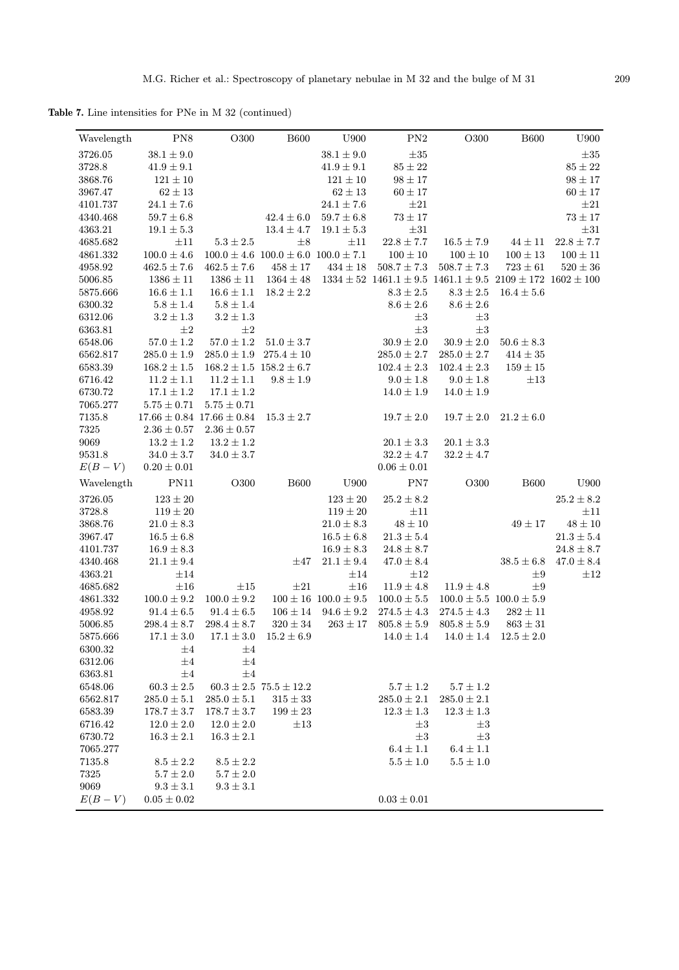Table 7. Line intensities for PNe in M 32 (continued)

| Wavelength          | PN <sub>8</sub>                   | O300                                         | <b>B600</b>                                     | U900                                     | $\mathrm{PN}2$                     | O300                                                                                                      | <b>B600</b>                                     | U900           |
|---------------------|-----------------------------------|----------------------------------------------|-------------------------------------------------|------------------------------------------|------------------------------------|-----------------------------------------------------------------------------------------------------------|-------------------------------------------------|----------------|
| 3726.05             | $38.1 \pm 9.0$                    |                                              |                                                 | $38.1\pm9.0$                             | $\pm 35$                           |                                                                                                           |                                                 | $\pm 35$       |
| 3728.8              | $41.9 \pm 9.1$                    |                                              |                                                 | $41.9 \pm 9.1$                           | $85\pm22$                          |                                                                                                           |                                                 | $85\pm22$      |
| 3868.76             | $121 \pm 10$                      |                                              |                                                 | $121 \pm 10$                             | $98\pm17$                          |                                                                                                           |                                                 | $98\pm17$      |
| 3967.47             | $62 \pm 13$                       |                                              |                                                 | $62 \pm 13$                              | $60\pm17$                          |                                                                                                           |                                                 | $60\pm17$      |
| 4101.737            | $24.1 \pm 7.6$                    |                                              |                                                 | $24.1\pm7.6$                             | $\pm 21$                           |                                                                                                           |                                                 | $\pm 21$       |
| 4340.468            | $59.7 \pm 6.8$                    |                                              | $42.4\pm6.0$                                    | $59.7 \pm 6.8$                           | $73\pm17$                          |                                                                                                           |                                                 | $73\pm17$      |
| 4363.21             | $19.1 \pm 5.3$                    |                                              | $13.4 \pm 4.7$                                  | $19.1 \pm 5.3$                           | $\pm 31$                           |                                                                                                           |                                                 | $\pm 31$       |
| 4685.682            | $\pm 11$                          | $5.3\pm2.5$                                  | $\pm 8$                                         | $\pm 11$                                 | $22.8 \pm 7.7$                     | $16.5\pm7.9$                                                                                              | $44 \pm 11$                                     | $22.8 \pm 7.7$ |
| 4861.332            | $100.0\pm4.6$                     |                                              | $100.0 \pm 4.6$ $100.0 \pm 6.0$ $100.0 \pm 7.1$ |                                          | $100 \pm 10$                       | $100 \pm 10$                                                                                              | $100\pm13$                                      | $100\pm11$     |
| 4958.92             | $462.5\pm7.6$                     | $462.5 \pm 7.6$                              | $458\pm17$                                      | $434\pm18$                               | $508.7 \pm 7.3$                    | $508.7 \pm 7.3$                                                                                           | $723\pm61$                                      | $520\pm36$     |
| 5006.85             | $1386\pm11$                       |                                              |                                                 |                                          |                                    | $1386 \pm 11$ $1364 \pm 48$ $1334 \pm 52$ $1461.1 \pm 9.5$ $1461.1 \pm 9.5$ $2109 \pm 172$ $1602 \pm 100$ |                                                 |                |
| 5875.666            | $16.6\pm1.1$                      | $16.6 \pm 1.1$                               | $18.2 \pm 2.2$                                  |                                          | $8.3\pm2.5$                        | $8.3\pm2.5$                                                                                               | $16.4 \pm 5.6$                                  |                |
| 6300.32             | $5.8 \pm 1.4$                     | $5.8 \pm 1.4$                                |                                                 |                                          | $8.6 \pm 2.6$                      | $8.6 \pm 2.6$                                                                                             |                                                 |                |
| 6312.06             | $3.2 \pm 1.3$                     | $3.2 \pm 1.3$                                |                                                 |                                          | $\pm 3$                            | $\pm 3$                                                                                                   |                                                 |                |
| 6363.81             | $\pm 2$                           | $\pm 2$                                      |                                                 |                                          | $\pm3$                             | $\pm3$                                                                                                    |                                                 |                |
| 6548.06             | $57.0 \pm 1.2$                    | $57.0 \pm 1.2$                               | $51.0 \pm 3.7$                                  |                                          | $30.9\pm2.0$                       | $30.9 \pm 2.0$                                                                                            | $50.6 \pm 8.3$                                  |                |
| 6562.817            | $285.0 \pm 1.9$                   |                                              | $285.0 \pm 1.9$ $275.4 \pm 10$                  |                                          | $285.0\pm2.7$                      | $285.0 \pm 2.7$                                                                                           | $414 \pm 35$                                    |                |
| 6583.39             | $168.2 \pm 1.5$                   |                                              | $168.2 \pm 1.5$ $158.2 \pm 6.7$                 |                                          | $102.4 \pm 2.3$                    | $102.4 \pm 2.3$                                                                                           | $159 \pm 15$                                    |                |
| 6716.42             | $11.2 \pm 1.1$                    | $11.2 \pm 1.1$                               | $9.8\pm1.9$                                     |                                          | $9.0 \pm 1.8$                      | $9.0\pm1.8$                                                                                               | $\pm 13$                                        |                |
| 6730.72             | $17.1 \pm 1.2$                    | $17.1\pm1.2$                                 |                                                 |                                          | $14.0\pm1.9$                       | $14.0 \pm 1.9$                                                                                            |                                                 |                |
| 7065.277            | $5.75 \pm 0.71$                   | $5.75 \pm 0.71$                              |                                                 |                                          |                                    |                                                                                                           |                                                 |                |
| 7135.8              |                                   | $17.66 \pm 0.84$ 17.66 $\pm$ 0.84            | $15.3 \pm 2.7$                                  |                                          | $19.7\pm2.0$                       | $19.7 \pm 2.0$                                                                                            | $21.2 \pm 6.0$                                  |                |
| 7325                | $2.36 \pm 0.57$                   | $2.36 \pm 0.57$                              |                                                 |                                          |                                    |                                                                                                           |                                                 |                |
| 9069                | $13.2 \pm 1.2$                    | $13.2 \pm 1.2$                               |                                                 |                                          | $20.1\pm3.3$                       | $20.1 \pm 3.3$                                                                                            |                                                 |                |
| 9531.8              | $34.0 \pm 3.7$                    | $34.0 \pm 3.7$                               |                                                 |                                          | $32.2 \pm 4.7$                     | $32.2 \pm 4.7$                                                                                            |                                                 |                |
| $E(B-V)$            | $0.20\pm0.01$                     |                                              |                                                 |                                          | $0.06 \pm 0.01$                    |                                                                                                           |                                                 |                |
| Wavelength          | PN11                              | O300                                         | <b>B600</b>                                     | ${\rm U}900$                             | PN7                                | ${\rm O}300$                                                                                              | <b>B600</b>                                     | ${\rm U}900$   |
|                     |                                   |                                              |                                                 |                                          |                                    |                                                                                                           |                                                 |                |
| $3726.05\,$         | $123 \pm 20$                      |                                              |                                                 | $123 \pm 20$                             | $25.2 \pm 8.2$                     |                                                                                                           |                                                 | $25.2 \pm 8.2$ |
| 3728.8              | $119 \pm 20$                      |                                              |                                                 | $119 \pm 20$                             | $\pm 11$                           |                                                                                                           |                                                 | $\pm 11$       |
| 3868.76             | $21.0 \pm 8.3$                    |                                              |                                                 | $21.0 \pm 8.3$                           | $48 \pm 10$                        |                                                                                                           | $49 \pm 17$                                     | $48\pm10$      |
| 3967.47             | $16.5\pm6.8$                      |                                              |                                                 | $16.5 \pm 6.8$                           | $21.3 \pm 5.4$                     |                                                                                                           |                                                 | $21.3 \pm 5.4$ |
| 4101.737            | $16.9\pm8.3$                      |                                              | $\pm 47$                                        | $16.9\pm8.3$                             | $24.8\pm8.7$                       |                                                                                                           |                                                 | $24.8 \pm 8.7$ |
| 4340.468            | $21.1 \pm 9.4$                    |                                              |                                                 | $21.1 \pm 9.4$                           | $47.0 \pm 8.4$                     |                                                                                                           | $38.5 \pm 6.8$<br>$\pm 9$                       | $47.0 \pm 8.4$ |
| 4363.21             | $\pm 14$                          |                                              |                                                 | $\pm 14$                                 | $\pm 12$                           |                                                                                                           |                                                 | $\pm 12$       |
| 4685.682            | $\pm 16$                          | $\pm 15$<br>$100.0 \pm 9.2$                  | $\pm 21$                                        | $\pm 16$<br>$100 \pm 16$ $100.0 \pm 9.5$ | $11.9 \pm 4.8$                     | $11.9 \pm 4.8$                                                                                            | $\pm 9$                                         |                |
| 4861.332<br>4958.92 | $100.0 \pm 9.2$<br>$91.4 \pm 6.5$ | $91.4\pm6.5$                                 |                                                 | $106 \pm 14$ $94.6 \pm 9.2$              | $100.0\pm5.5$                      |                                                                                                           | $100.0 \pm 5.5$ $100.0 \pm 5.9$<br>$282 \pm 11$ |                |
| 5006.85             | $298.4 \pm 8.7$                   | $298.4 \pm 8.7$                              | $320\pm34$                                      | $263 \pm 17$                             | $274.5 \pm 4.3$<br>$805.8 \pm 5.9$ | $274.5 \pm 4.3$<br>$805.8 \pm 5.9$                                                                        | $863 \pm 31$                                    |                |
| 5875.666            |                                   | $17.1 \pm 3.0$ $17.1 \pm 3.0$ $15.2 \pm 6.9$ |                                                 |                                          |                                    | $14.0 \pm 1.4$ $14.0 \pm 1.4$ $12.5 \pm 2.0$                                                              |                                                 |                |
|                     | $\pm 4$                           | $\pm 4$                                      |                                                 |                                          |                                    |                                                                                                           |                                                 |                |
| 6300.32<br>6312.06  | $\pm 4$                           | $\pm 4$                                      |                                                 |                                          |                                    |                                                                                                           |                                                 |                |
|                     |                                   |                                              |                                                 |                                          |                                    |                                                                                                           |                                                 |                |
| 6363.81             | $\pm 4$<br>$60.3 \pm 2.5$         | $\pm 4$                                      | $60.3 \pm 2.5$ $75.5 \pm 12.2$                  |                                          | $5.7 \pm 1.2$                      |                                                                                                           |                                                 |                |
| 6548.06             |                                   |                                              |                                                 |                                          |                                    | $5.7 \pm 1.2$                                                                                             |                                                 |                |
|                     |                                   |                                              |                                                 |                                          |                                    |                                                                                                           |                                                 |                |
| 6562.817            | $285.0\pm5.1$                     | $285.0 \pm 5.1$                              | $315\pm33$                                      |                                          | $285.0\pm2.1$                      | $285.0\pm2.1$                                                                                             |                                                 |                |
| 6583.39             | $178.7\pm3.7$                     | $178.7\pm3.7$                                | $199\pm23$                                      |                                          | $12.3 \pm 1.3$                     | $12.3 \pm 1.3$                                                                                            |                                                 |                |
| 6716.42             | $12.0 \pm 2.0$                    | $12.0 \pm 2.0$                               | $\pm 13$                                        |                                          | $\pm3$                             | $\pm 3$                                                                                                   |                                                 |                |
| 6730.72             | $16.3 \pm 2.1$                    | $16.3 \pm 2.1$                               |                                                 |                                          | $\pm 3$                            | $\pm 3$                                                                                                   |                                                 |                |
| 7065.277            |                                   |                                              |                                                 |                                          | $6.4 \pm 1.1$                      | $6.4 \pm 1.1$                                                                                             |                                                 |                |
| 7135.8              | $8.5\pm2.2$                       | $8.5\pm2.2$                                  |                                                 |                                          | $5.5\pm1.0$                        | $5.5\pm1.0$                                                                                               |                                                 |                |
| 7325                | $5.7 \pm 2.0$                     | $5.7 \pm 2.0$                                |                                                 |                                          |                                    |                                                                                                           |                                                 |                |
| 9069<br>$E(B-V)$    | $9.3 \pm 3.1$<br>$0.05 \pm 0.02$  | $9.3\pm3.1$                                  |                                                 |                                          | $0.03 \pm 0.01$                    |                                                                                                           |                                                 |                |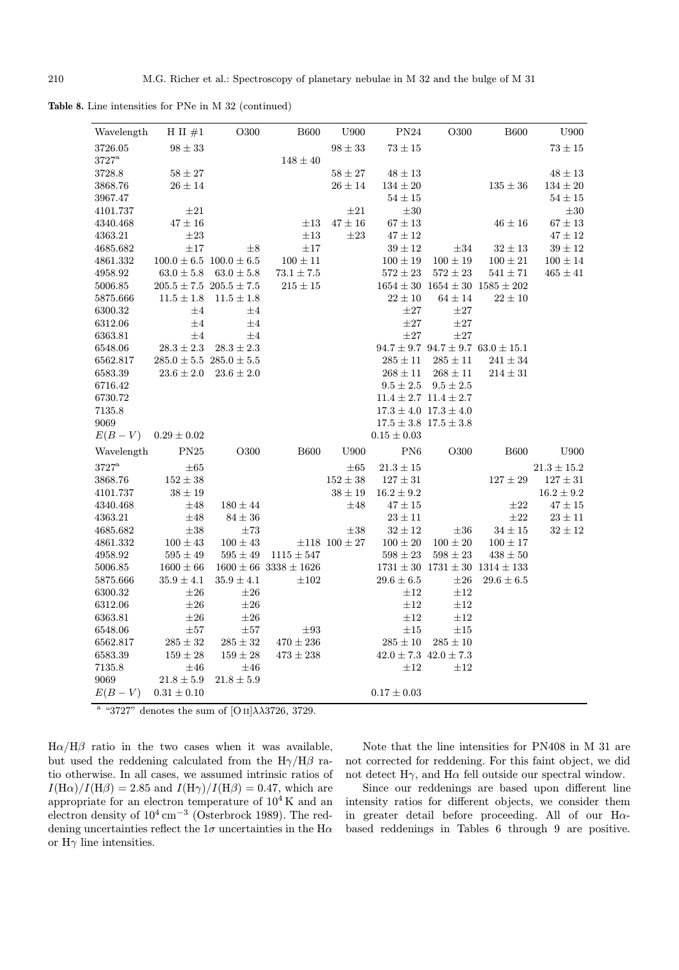Table 8. Line intensities for PNe in M 32 (continued)

| Wavelength          | H II $#1$                       | O300                            | <b>B600</b>                  | U900                   | PN24                          | O300                          | <b>B600</b>                                       | U900            |
|---------------------|---------------------------------|---------------------------------|------------------------------|------------------------|-------------------------------|-------------------------------|---------------------------------------------------|-----------------|
| 3726.05             | $98 \pm 33$                     |                                 |                              | $98 \pm 33$            | $73\pm15$                     |                               |                                                   | $73\pm15$       |
| $3727^{\rm a}$      |                                 |                                 | $148\pm40$                   |                        |                               |                               |                                                   |                 |
| 3728.8              | $58 \pm 27$                     |                                 |                              | $58 \pm 27$            | $48 \pm 13$                   |                               |                                                   | $48 \pm 13$     |
| 3868.76             | $26 \pm 14$                     |                                 |                              | $26 \pm 14$            | $134 \pm 20$                  |                               | $135 \pm 36$                                      | $134\pm20$      |
| 3967.47             |                                 |                                 |                              |                        | $54 \pm 15$                   |                               |                                                   | $54\pm15$       |
| 4101.737            | $\pm 21$                        |                                 |                              | $\pm 21$               | $\pm 30$                      |                               |                                                   | $\pm 30$        |
| 4340.468            | $47\pm16$                       |                                 | $\pm 13$                     | $47\pm16$              | $67 \pm 13$                   |                               | $46\pm16$                                         | $67 \pm 13$     |
| 4363.21             | $\pm 23$                        |                                 | $\pm 13$                     | $\pm 23$               | $47 \pm 12$                   |                               |                                                   | $47\pm12$       |
| 4685.682            | $\pm 17$                        | $\pm 8$                         | $\pm 17$                     |                        | $39 \pm 12$                   | $\pm 34$                      | $32\pm13$                                         | $39 \pm 12$     |
| 4861.332            |                                 | $100.0 \pm 6.5$ $100.0 \pm 6.5$ | $100 \pm 11$                 |                        | $100 \pm 19$                  | $100 \pm 19$                  | $100 \pm 21$                                      | $100 \pm 14$    |
| 4958.92             | $63.0 \pm 5.8$                  | $63.0 \pm 5.8$                  | $73.1 \pm 7.5$               |                        | $572 \pm 23$                  | $572\pm23$                    | $541 \pm 71$                                      | $465 \pm 41$    |
| 5006.85             |                                 | $205.5 \pm 7.5$ $205.5 \pm 7.5$ | $215 \pm 15$                 |                        |                               |                               | $1654 \pm 30$ $1654 \pm 30$ $1585 \pm 202$        |                 |
| 5875.666            | $11.5 \pm 1.8$                  | $11.5 \pm 1.8$                  |                              |                        | $22\pm10$                     | $64 \pm 14$                   | $22 \pm 10$                                       |                 |
| 6300.32             | $\pm 4$                         | $\pm 4$                         |                              |                        | $\pm 27$                      | $\pm 27$                      |                                                   |                 |
| 6312.06             | $\pm 4$                         | $\pm 4$                         |                              |                        | $\pm 27$                      | $\pm 27$                      |                                                   |                 |
| 6363.81             | $\pm 4$                         | $\pm 4$                         |                              |                        | $\pm 27$                      | $\pm 27$                      |                                                   |                 |
| 6548.06             | $28.3\pm2.3$                    | $28.3 \pm 2.3$                  |                              |                        |                               |                               | $94.7 \pm 9.7 \ \ 94.7 \pm 9.7 \ \ 63.0 \pm 15.1$ |                 |
| 6562.817            | $285.0 \pm 5.5$ $285.0 \pm 5.5$ |                                 |                              |                        | $285 \pm 11$                  | $285 \pm 11$                  | $241 \pm 34$                                      |                 |
| 6583.39             | $23.6 \pm 2.0$                  | $23.6 \pm 2.0$                  |                              |                        | $268 \pm 11$                  | $268 \pm 11$                  | $214 \pm 31$                                      |                 |
| 6716.42             |                                 |                                 |                              |                        | $9.5 \pm 2.5$                 | $9.5 \pm 2.5$                 |                                                   |                 |
| 6730.72             |                                 |                                 |                              |                        |                               | $11.4 \pm 2.7$ $11.4 \pm 2.7$ |                                                   |                 |
| 7135.8              |                                 |                                 |                              |                        |                               | $17.3 \pm 4.0$ $17.3 \pm 4.0$ |                                                   |                 |
| 9069                |                                 |                                 |                              |                        | $17.5 \pm 3.8$ $17.5 \pm 3.8$ |                               |                                                   |                 |
| $E(B-V)$            | $0.29 \pm 0.02$                 |                                 |                              |                        | $0.15 \pm 0.03$               |                               |                                                   |                 |
| Wavelength          | $\mathrm{PN}25$                 | O300                            | <b>B600</b>                  | ${\rm U}900$           | PN6                           | O300                          | <b>B600</b>                                       | U900            |
| $3727^{\mathrm{a}}$ | $\pm 65$                        |                                 |                              | $\pm 65$               | $21.3 \pm 15$                 |                               |                                                   | $21.3 \pm 15.2$ |
| 3868.76             | $152 \pm 38$                    |                                 |                              | $152 \pm 38$           | $127 \pm 31$                  |                               | $127\pm29$                                        | $127 \pm 31$    |
| 4101.737            | $38\pm19$                       |                                 |                              | $38\pm19$              | $16.2 \pm 9.2$                |                               |                                                   | $16.2 \pm 9.2$  |
| 4340.468            | $\pm 48$                        | $180 \pm 44$                    |                              | $\pm 48$               | $47 \pm 15$                   |                               | $\pm 22$                                          | $47 \pm 15$     |
| 4363.21             | $\pm 48$                        | $84 \pm 36$                     |                              |                        | $23 \pm 11$                   |                               | $\pm 22$                                          | $23 \pm 11$     |
| 4685.682            | $\pm 38$                        | $\pm 73$                        |                              | $\pm 38$               | $32\pm12$                     | $\pm 36$                      | $34 \pm 15$                                       | $32\pm12$       |
| 4861.332            | $100 \pm 43$                    | $100 \pm 43$                    |                              | $\pm 118$ 100 $\pm 27$ | $100\pm20$                    | $100 \pm 20$                  | $100 \pm 17$                                      |                 |
| 4958.92             | $595 \pm 49$                    | $595 \pm 49$                    | $1115 \pm 547$               |                        | $598 \pm 23$                  | $598 \pm 23$                  | $438 \pm 50$                                      |                 |
| 5006.85             | $1600 \pm 66$                   |                                 | $1600 \pm 66\ 3338 \pm 1626$ |                        |                               |                               | $1731 \pm 30$ $1731 \pm 30$ $1314 \pm 133$        |                 |
| 5875.666            | $35.9 \pm 4.1$                  | $35.9 \pm 4.1$                  | $\pm 102$                    |                        | $29.6 \pm 6.5$                | $\pm 26$                      | $29.6 \pm 6.5$                                    |                 |
| 6300.32             | $\pm 26$                        | $\pm 26$                        |                              |                        | $\pm 12$                      | $\pm 12$                      |                                                   |                 |
| 6312.06             | $\pm 26$                        | $\pm 26$                        |                              |                        | $\pm 12$                      | $\pm 12$                      |                                                   |                 |
| $\,6363.81\,$       | $\pm 26$                        | $\pm 26$                        |                              |                        | $\pm 12$                      | $\pm 12$                      |                                                   |                 |
| 6548.06             | $\pm 57$                        | $\pm 57$                        | $\pm 93$                     |                        | $\pm 15$                      | $\pm 15$                      |                                                   |                 |
| 6562.817            | $285\pm32$                      | $285\pm32$                      | $470 \pm 236$                |                        | $285\pm10$                    | $285\pm10$                    |                                                   |                 |
| 6583.39             | $159 \pm 28$                    | $159 \pm 28$                    | $473 \pm 238$                |                        | $42.0 \pm 7.3$ $42.0 \pm 7.3$ |                               |                                                   |                 |
| 7135.8              | $\pm 46$                        | $\pm 46$                        |                              |                        | $\pm 12$                      | $\pm 12$                      |                                                   |                 |
| 9069                | $21.8 \pm 5.9$                  | $21.8 \pm 5.9$                  |                              |                        |                               |                               |                                                   |                 |
| $E(B-V)$            | $0.31 \pm 0.10$                 |                                 |                              |                        | $0.17 \pm 0.03$               |                               |                                                   |                 |

<sup>a</sup> "3727" denotes the sum of  $[O II]\lambda\lambda3726$ , 3729.

 $H\alpha/H\beta$  ratio in the two cases when it was available, but used the reddening calculated from the  $H\gamma/H\beta$  ratio otherwise. In all cases, we assumed intrinsic ratios of  $I(H\alpha)/I(H\beta)=2.85$  and  $I(H\gamma)/I(H\beta)=0.47$ , which are appropriate for an electron temperature of  $10^4$ K and an electron density of  $10^4 \text{ cm}^{-3}$  (Osterbrock 1989). The reddening uncertainties reflect the  $1\sigma$  uncertainties in the H $\alpha$ or  $H\gamma$  line intensities.

Note that the line intensities for PN408 in M 31 are not corrected for reddening. For this faint object, we did not detect  $H\gamma$ , and  $H\alpha$  fell outside our spectral window.

Since our reddenings are based upon different line intensity ratios for different objects, we consider them in greater detail before proceeding. All of our Hαbased reddenings in Tables 6 through 9 are positive.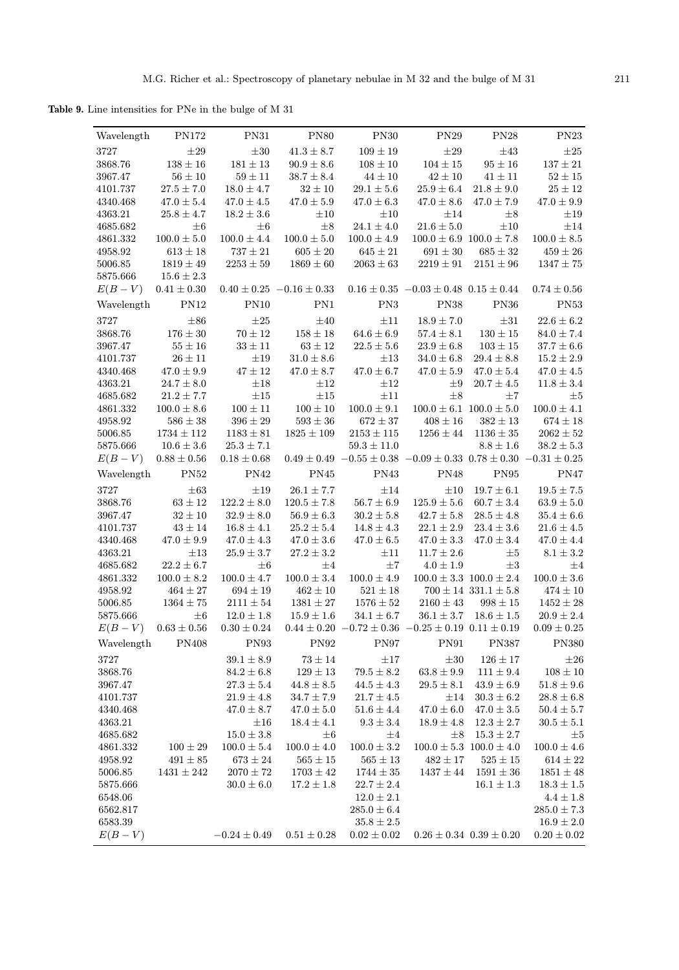Table 9. Line intensities for PNe in the bulge of M 31

| PN172<br><b>PN31</b><br><b>PN80</b><br><b>PN30</b><br>PN29<br><b>PN28</b><br>PN23<br>Wavelength<br>3727<br>$109\pm19$<br>$\pm 29$<br>$\pm 30$<br>$41.3 \pm 8.7$<br>$\pm 29$<br>$\pm 43$<br>$\pm 25$<br>$138\pm16$<br>$181\pm13$<br>$108\pm10$<br>$104\pm15$<br>$95\pm16$<br>$137\pm21$<br>3868.76<br>$90.9 \pm 8.6$<br>$56\pm10$<br>$59\pm11$<br>$44\pm10$<br>$42\pm10$<br>$41\pm11$<br>$52\pm15$<br>3967.47<br>$38.7 \pm 8.4$<br>$27.5\pm7.0$<br>$18.0 \pm 4.7$<br>$21.8 \pm 9.0$<br>$25\pm12$<br>$32\pm10$<br>$29.1 \pm 5.6$<br>$25.9 \pm 6.4$<br>4101.737<br>4340.468<br>$47.0 \pm 5.4$<br>$47.0 \pm 4.5$<br>$47.0 \pm 5.9$<br>$47.0 \pm 8.6$<br>$47.0 \pm 9.9$<br>$47.0 \pm 6.3$<br>$47.0 \pm 7.9$<br>4363.21<br>$25.8 \pm 4.7$<br>$18.2 \pm 3.6$<br>$\pm 10$<br>$\pm 10$<br>$\pm 14$<br>$\pm 8$<br>$\pm 19$<br>$\pm 8$<br>4685.682<br>$\pm 6$<br>$\pm 6$<br>$24.1 \pm 4.0$<br>$21.6 \pm 5.0$<br>$\pm 10$<br>$\pm 14$<br>$100.0\pm5.0$<br>$100.0 \pm 4.4$<br>$100.0\pm5.0$<br>$100.0\pm8.5$<br>4861.332<br>$100.0 \pm 4.9$<br>$100.0 \pm 6.9$ $100.0 \pm 7.8$<br>$613\pm18$<br>$737\pm21$<br>$605\pm20$<br>$685\pm32$<br>$459\pm26$<br>4958.92<br>$645 \pm 21$<br>$691 \pm 30$<br>$1819\pm49$<br>$2253\pm59$<br>5006.85<br>$1869 \pm 60$<br>$2063 \pm 63$<br>$2219 \pm 91$<br>$2151 \pm 96$<br>$1347\pm75$<br>5875.666<br>$15.6 \pm 2.3$<br>$E(B-V)$<br>$0.41\pm0.30$<br>$0.40 \pm 0.25 -0.16 \pm 0.33$<br>$0.16 \pm 0.35 -0.03 \pm 0.48$ $0.15 \pm 0.44$<br>$0.74\pm0.56$<br>PN12<br><b>PN10</b><br>PN1<br>PN3<br><b>PN38</b><br><b>PN36</b><br><b>PN53</b><br>Wavelength<br>$\pm 86$<br>$22.6\pm6.2$<br>3727<br>$\pm 25$<br>$\pm 40$<br>$\pm 11$<br>$18.9 \pm 7.0$<br>$\pm 31$<br>$176\pm30$<br>$70\pm12$<br>$158\pm18$<br>$130\pm15$<br>3868.76<br>$64.6 \pm 6.9$<br>$57.4 \pm 8.1$<br>$84.0 \pm 7.4$<br>$55\pm16$<br>$33\pm11$<br>$63\pm12$<br>$22.5\pm5.6$<br>$103\pm15$<br>$37.7\pm6.6$<br>3967.47<br>$23.9 \pm 6.8$<br>$26\pm11$<br>$15.2\pm2.9$<br>4101.737<br>$\pm 19$<br>$31.0 \pm 8.6$<br>$34.0 \pm 6.8$<br>$29.4 \pm 8.8$<br>$\pm 13$<br>$47.0 \pm 9.9$<br>$47 \pm 12$<br>$47.0 \pm 8.7$<br>$47.0 \pm 6.7$<br>$47.0 \pm 5.9$<br>$47.0 \pm 5.4$<br>$47.0 \pm 4.5$<br>4340.468<br>4363.21<br>$24.7\pm8.0$<br>$\pm 18$<br>$\pm 12$<br>$\pm 12$<br>$20.7\pm4.5$<br>$11.8 \pm 3.4$<br>$\pm 9$<br>$\pm 15$<br>$\pm 15$<br>$\pm 8$<br>4685.682<br>$21.2 \pm 7.7$<br>$\pm 11$<br>$\pm7$<br>$\pm 5$<br>$100\pm11$<br>$100\pm10$<br>$100.0 \pm 9.1$<br>$100.0 \pm 6.1$ $100.0 \pm 5.0$<br>$100.0\pm4.1$<br>4861.332<br>$100.0 \pm 8.6$<br>$396\pm29$<br>$674\pm18$<br>4958.92<br>$586\pm38$<br>$593\pm36$<br>$672 \pm 37$<br>$408 \pm 16$<br>$382\pm13$<br>$2153\pm115$<br>$2062\pm52$<br>5006.85<br>$1734 \pm 112$<br>$1183 \pm 81$<br>$1825 \pm 109$<br>$1256 \pm 44$<br>$1136 \pm 35$<br>5875.666<br>$10.6 \pm 3.6$<br>$25.3 \pm 7.1$<br>$59.3 \pm 11.0$<br>$8.8 \pm 1.6$<br>$38.2 \pm 5.3$<br>$0.49 \pm 0.49 \,\, -0.55 \pm 0.38 \,\, -0.09 \pm 0.33 \,\, 0.78 \pm 0.30 \,\, -0.31 \pm 0.25$<br>$E(B-V)$<br>$0.88\pm0.56$<br>$0.18\pm0.68$<br><b>PN52</b><br>PN42<br>PN45<br>PN43<br><b>PN48</b><br>PN95<br>PN47<br>Wavelength<br>$19.5\pm7.5$<br>3727<br>$\pm 63$<br>$\pm 19$<br>$26.1 \pm 7.7$<br>$\pm 14$<br>$\pm 10$<br>$19.7 \pm 6.1$<br>$56.7\pm6.9$<br>3868.76<br>$63 \pm 12$<br>$122.2 \pm 8.0$<br>$120.5 \pm 7.8$<br>$125.9 \pm 5.6$<br>$60.7 \pm 3.4$<br>$63.9 \pm 5.0$<br>3967.47<br>$32 \pm 10$<br>$32.9 \pm 8.0$<br>$56.9 \pm 6.3$<br>$30.2 \pm 5.8$<br>$42.7 \pm 5.8$<br>$28.5 \pm 4.8$<br>$35.4\pm6.6$<br>$16.8 \pm 4.1$<br>$43\pm14$<br>$25.2 \pm 5.4$<br>$14.8 \pm 4.3$<br>$22.1 \pm 2.9$<br>$23.4 \pm 3.6$<br>$21.6 \pm 4.5$<br>4101.737<br>$47.0 \pm 9.9$<br>$47.0 \pm 4.3$<br>$47.0\pm3.6$<br>$47.0 \pm 6.5$<br>$47.0 \pm 3.3$<br>$47.0 \pm 3.4$<br>$47.0 \pm 4.4$<br>4340.468<br>$27.2 \pm 3.2$<br>$8.1\pm3.2$<br>4363.21<br>$\pm 13$<br>$25.9\pm3.7$<br>$\pm 11$<br>$11.7 \pm 2.6$<br>$\pm 5$<br>$22.2\pm6.7$<br>$\pm7$<br>4685.682<br>$\pm 6$<br>$\pm 4$<br>$4.0\pm1.9$<br>$\pm 3$<br>$\pm 4$<br>$100.0\pm8.2$<br>$100.0\pm3.4$<br>$100.0 \pm 4.9$<br>4861.332<br>$100.0 \pm 4.7$<br>$100.0 \pm 3.3$ $100.0 \pm 2.4$<br>$100.0\pm3.6$<br>$521\pm18$<br>$700 \pm 14$ 331.1 $\pm$ 5.8<br>$474\pm10$<br>4958.92<br>$464\pm27$<br>$694\pm19$<br>$462\pm10$<br>5006.85<br>$1364 \pm 75$<br>$2111 \pm 54$<br>$1381\pm27$<br>$1576 \pm 52$<br>$2160 \pm 43$<br>$998 \pm 15$<br>$1452\pm28$<br>5875.666<br>$\pm 6$<br>$15.9\pm1.6$<br>$34.1 \pm 6.7$<br>$36.1 \pm 3.7$ $18.6 \pm 1.5$<br>$20.9 \pm 2.4$<br>$12.0 \pm 1.8$<br>$E(B-V)$<br>$0.63 \pm 0.56$<br>$0.30 \pm 0.24$<br>$0.44 \pm 0.20$ $-0.72 \pm 0.36$ $-0.25 \pm 0.19$ $0.11 \pm 0.19$<br>$0.09 \pm 0.25$<br>Wavelength<br><b>PN93</b><br><b>PN92</b><br><b>PN91</b><br><b>PN380</b><br><b>PN408</b><br>PN97<br><b>PN387</b><br>3727<br>$39.1 \pm 8.9$<br>$73 \pm 14$<br>$\pm 17$<br>$\pm 30$<br>$126 \pm 17$<br>$\pm 26$<br>3868.76<br>$84.2 \pm 6.8$<br>$129 \pm 13$<br>$79.5 \pm 8.2$<br>$63.8 \pm 9.9$<br>$111 \pm 9.4$<br>$108 \pm 10$<br>$27.3 \pm 5.4$<br>$44.8 \pm 8.5$<br>$44.5 \pm 4.3$<br>$29.5 \pm 8.1$<br>$43.9 \pm 6.9$<br>$51.8\pm9.6$<br>3967.47<br>$21.9 \pm 4.8$<br>$34.7 \pm 7.9$<br>$21.7 \pm 4.5$<br>$\pm 14$<br>$30.3 \pm 6.2$<br>$28.8 \pm 6.8$<br>4101.737<br>4340.468<br>$47.0 \pm 8.7$<br>$47.0 \pm 5.0$<br>$51.6 \pm 4.4$<br>$47.0 \pm 6.0$<br>$47.0 \pm 3.5$<br>$50.4 \pm 5.7$<br>4363.21<br>$\pm 16$<br>$18.4 \pm 4.1$<br>$9.3 \pm 3.4$<br>$18.9 \pm 4.8$<br>$12.3 \pm 2.7$<br>$30.5 \pm 5.1$<br>4685.682<br>$15.0 \pm 3.8$<br>$15.3 \pm 2.7$<br>$\pm 6$<br>$\pm 4$<br>$\pm 8$<br>$\pm 5$<br>4861.332<br>$100.0 \pm 5.4$<br>$100.0 \pm 4.0$<br>$100.0 \pm 3.2$<br>$100.0 \pm 5.3$ $100.0 \pm 4.0$<br>$100.0\pm4.6$<br>$100 \pm 29$<br>$\!958.92$<br>$491 \pm 85$<br>$673 \pm 24$<br>$565 \pm 15$<br>$565 \pm 13$<br>$482 \pm 17$<br>$525 \pm 15$<br>$614\pm22$<br>5006.85<br>$1431 \pm 242$<br>$2070 \pm 72$<br>$1703 \pm 42$<br>$1744 \pm 35$<br>$1437 \pm 44$<br>$1591 \pm 36$<br>$1851 \pm 48$<br>$30.0 \pm 6.0$<br>$17.2 \pm 1.8$<br>$16.1 \pm 1.3$<br>$18.3 \pm 1.5$<br>5875.666<br>$22.7 \pm 2.4$<br>6548.06<br>$12.0 \pm 2.1$<br>$4.4 \pm 1.8$<br>$285.0 \pm 6.4$<br>6562.817<br>$285.0 \pm 7.3$<br>6583.39<br>$35.8\pm2.5$<br>$16.9 \pm 2.0$<br>$E(B-V)$<br>$-0.24 \pm 0.49$<br>$0.51 \pm 0.28$<br>$0.02 \pm 0.02$<br>$0.26 \pm 0.34$ $0.39 \pm 0.20$<br>$0.20 \pm 0.02$ |  |  |  |  |
|--------------------------------------------------------------------------------------------------------------------------------------------------------------------------------------------------------------------------------------------------------------------------------------------------------------------------------------------------------------------------------------------------------------------------------------------------------------------------------------------------------------------------------------------------------------------------------------------------------------------------------------------------------------------------------------------------------------------------------------------------------------------------------------------------------------------------------------------------------------------------------------------------------------------------------------------------------------------------------------------------------------------------------------------------------------------------------------------------------------------------------------------------------------------------------------------------------------------------------------------------------------------------------------------------------------------------------------------------------------------------------------------------------------------------------------------------------------------------------------------------------------------------------------------------------------------------------------------------------------------------------------------------------------------------------------------------------------------------------------------------------------------------------------------------------------------------------------------------------------------------------------------------------------------------------------------------------------------------------------------------------------------------------------------------------------------------------------------------------------------------------------------------------------------------------------------------------------------------------------------------------------------------------------------------------------------------------------------------------------------------------------------------------------------------------------------------------------------------------------------------------------------------------------------------------------------------------------------------------------------------------------------------------------------------------------------------------------------------------------------------------------------------------------------------------------------------------------------------------------------------------------------------------------------------------------------------------------------------------------------------------------------------------------------------------------------------------------------------------------------------------------------------------------------------------------------------------------------------------------------------------------------------------------------------------------------------------------------------------------------------------------------------------------------------------------------------------------------------------------------------------------------------------------------------------------------------------------------------------------------------------------------------------------------------------------------------------------------------------------------------------------------------------------------------------------------------------------------------------------------------------------------------------------------------------------------------------------------------------------------------------------------------------------------------------------------------------------------------------------------------------------------------------------------------------------------------------------------------------------------------------------------------------------------------------------------------------------------------------------------------------------------------------------------------------------------------------------------------------------------------------------------------------------------------------------------------------------------------------------------------------------------------------------------------------------------------------------------------------------------------------------------------------------------------------------------------------------------------------------------------------------------------------------------------------------------------------------------------------------------------------------------------------------------------------------------------------------------------------------------------------------------------------------------------------------------------------------------------------------------------------------------------------------------------------------------------------------------------------------------------------------------------------------------------------------------------------------------------------------------------------------------------------------------------------------------------------------------------------------------------------------------------------------------------------------------------------------------------------------------------------------------------------------------------------------------------------------------------------------------------------------------------------------------------------------------------------------------------------------------------------------------------------------------------------------------------------------------------------------------------------------------------------------------------------------------------------------------------------------------------------------------------------------------------------------------------------------------------------------------------------------------------|--|--|--|--|
|                                                                                                                                                                                                                                                                                                                                                                                                                                                                                                                                                                                                                                                                                                                                                                                                                                                                                                                                                                                                                                                                                                                                                                                                                                                                                                                                                                                                                                                                                                                                                                                                                                                                                                                                                                                                                                                                                                                                                                                                                                                                                                                                                                                                                                                                                                                                                                                                                                                                                                                                                                                                                                                                                                                                                                                                                                                                                                                                                                                                                                                                                                                                                                                                                                                                                                                                                                                                                                                                                                                                                                                                                                                                                                                                                                                                                                                                                                                                                                                                                                                                                                                                                                                                                                                                                                                                                                                                                                                                                                                                                                                                                                                                                                                                                                                                                                                                                                                                                                                                                                                                                                                                                                                                                                                                                                                                                                                                                                                                                                                                                                                                                                                                                                                                                                                                                                                                                                                                                                                                                                                                                                                                                                                                                                                                                                                                                                                                  |  |  |  |  |
|                                                                                                                                                                                                                                                                                                                                                                                                                                                                                                                                                                                                                                                                                                                                                                                                                                                                                                                                                                                                                                                                                                                                                                                                                                                                                                                                                                                                                                                                                                                                                                                                                                                                                                                                                                                                                                                                                                                                                                                                                                                                                                                                                                                                                                                                                                                                                                                                                                                                                                                                                                                                                                                                                                                                                                                                                                                                                                                                                                                                                                                                                                                                                                                                                                                                                                                                                                                                                                                                                                                                                                                                                                                                                                                                                                                                                                                                                                                                                                                                                                                                                                                                                                                                                                                                                                                                                                                                                                                                                                                                                                                                                                                                                                                                                                                                                                                                                                                                                                                                                                                                                                                                                                                                                                                                                                                                                                                                                                                                                                                                                                                                                                                                                                                                                                                                                                                                                                                                                                                                                                                                                                                                                                                                                                                                                                                                                                                                  |  |  |  |  |
|                                                                                                                                                                                                                                                                                                                                                                                                                                                                                                                                                                                                                                                                                                                                                                                                                                                                                                                                                                                                                                                                                                                                                                                                                                                                                                                                                                                                                                                                                                                                                                                                                                                                                                                                                                                                                                                                                                                                                                                                                                                                                                                                                                                                                                                                                                                                                                                                                                                                                                                                                                                                                                                                                                                                                                                                                                                                                                                                                                                                                                                                                                                                                                                                                                                                                                                                                                                                                                                                                                                                                                                                                                                                                                                                                                                                                                                                                                                                                                                                                                                                                                                                                                                                                                                                                                                                                                                                                                                                                                                                                                                                                                                                                                                                                                                                                                                                                                                                                                                                                                                                                                                                                                                                                                                                                                                                                                                                                                                                                                                                                                                                                                                                                                                                                                                                                                                                                                                                                                                                                                                                                                                                                                                                                                                                                                                                                                                                  |  |  |  |  |
|                                                                                                                                                                                                                                                                                                                                                                                                                                                                                                                                                                                                                                                                                                                                                                                                                                                                                                                                                                                                                                                                                                                                                                                                                                                                                                                                                                                                                                                                                                                                                                                                                                                                                                                                                                                                                                                                                                                                                                                                                                                                                                                                                                                                                                                                                                                                                                                                                                                                                                                                                                                                                                                                                                                                                                                                                                                                                                                                                                                                                                                                                                                                                                                                                                                                                                                                                                                                                                                                                                                                                                                                                                                                                                                                                                                                                                                                                                                                                                                                                                                                                                                                                                                                                                                                                                                                                                                                                                                                                                                                                                                                                                                                                                                                                                                                                                                                                                                                                                                                                                                                                                                                                                                                                                                                                                                                                                                                                                                                                                                                                                                                                                                                                                                                                                                                                                                                                                                                                                                                                                                                                                                                                                                                                                                                                                                                                                                                  |  |  |  |  |
|                                                                                                                                                                                                                                                                                                                                                                                                                                                                                                                                                                                                                                                                                                                                                                                                                                                                                                                                                                                                                                                                                                                                                                                                                                                                                                                                                                                                                                                                                                                                                                                                                                                                                                                                                                                                                                                                                                                                                                                                                                                                                                                                                                                                                                                                                                                                                                                                                                                                                                                                                                                                                                                                                                                                                                                                                                                                                                                                                                                                                                                                                                                                                                                                                                                                                                                                                                                                                                                                                                                                                                                                                                                                                                                                                                                                                                                                                                                                                                                                                                                                                                                                                                                                                                                                                                                                                                                                                                                                                                                                                                                                                                                                                                                                                                                                                                                                                                                                                                                                                                                                                                                                                                                                                                                                                                                                                                                                                                                                                                                                                                                                                                                                                                                                                                                                                                                                                                                                                                                                                                                                                                                                                                                                                                                                                                                                                                                                  |  |  |  |  |
|                                                                                                                                                                                                                                                                                                                                                                                                                                                                                                                                                                                                                                                                                                                                                                                                                                                                                                                                                                                                                                                                                                                                                                                                                                                                                                                                                                                                                                                                                                                                                                                                                                                                                                                                                                                                                                                                                                                                                                                                                                                                                                                                                                                                                                                                                                                                                                                                                                                                                                                                                                                                                                                                                                                                                                                                                                                                                                                                                                                                                                                                                                                                                                                                                                                                                                                                                                                                                                                                                                                                                                                                                                                                                                                                                                                                                                                                                                                                                                                                                                                                                                                                                                                                                                                                                                                                                                                                                                                                                                                                                                                                                                                                                                                                                                                                                                                                                                                                                                                                                                                                                                                                                                                                                                                                                                                                                                                                                                                                                                                                                                                                                                                                                                                                                                                                                                                                                                                                                                                                                                                                                                                                                                                                                                                                                                                                                                                                  |  |  |  |  |
|                                                                                                                                                                                                                                                                                                                                                                                                                                                                                                                                                                                                                                                                                                                                                                                                                                                                                                                                                                                                                                                                                                                                                                                                                                                                                                                                                                                                                                                                                                                                                                                                                                                                                                                                                                                                                                                                                                                                                                                                                                                                                                                                                                                                                                                                                                                                                                                                                                                                                                                                                                                                                                                                                                                                                                                                                                                                                                                                                                                                                                                                                                                                                                                                                                                                                                                                                                                                                                                                                                                                                                                                                                                                                                                                                                                                                                                                                                                                                                                                                                                                                                                                                                                                                                                                                                                                                                                                                                                                                                                                                                                                                                                                                                                                                                                                                                                                                                                                                                                                                                                                                                                                                                                                                                                                                                                                                                                                                                                                                                                                                                                                                                                                                                                                                                                                                                                                                                                                                                                                                                                                                                                                                                                                                                                                                                                                                                                                  |  |  |  |  |
|                                                                                                                                                                                                                                                                                                                                                                                                                                                                                                                                                                                                                                                                                                                                                                                                                                                                                                                                                                                                                                                                                                                                                                                                                                                                                                                                                                                                                                                                                                                                                                                                                                                                                                                                                                                                                                                                                                                                                                                                                                                                                                                                                                                                                                                                                                                                                                                                                                                                                                                                                                                                                                                                                                                                                                                                                                                                                                                                                                                                                                                                                                                                                                                                                                                                                                                                                                                                                                                                                                                                                                                                                                                                                                                                                                                                                                                                                                                                                                                                                                                                                                                                                                                                                                                                                                                                                                                                                                                                                                                                                                                                                                                                                                                                                                                                                                                                                                                                                                                                                                                                                                                                                                                                                                                                                                                                                                                                                                                                                                                                                                                                                                                                                                                                                                                                                                                                                                                                                                                                                                                                                                                                                                                                                                                                                                                                                                                                  |  |  |  |  |
|                                                                                                                                                                                                                                                                                                                                                                                                                                                                                                                                                                                                                                                                                                                                                                                                                                                                                                                                                                                                                                                                                                                                                                                                                                                                                                                                                                                                                                                                                                                                                                                                                                                                                                                                                                                                                                                                                                                                                                                                                                                                                                                                                                                                                                                                                                                                                                                                                                                                                                                                                                                                                                                                                                                                                                                                                                                                                                                                                                                                                                                                                                                                                                                                                                                                                                                                                                                                                                                                                                                                                                                                                                                                                                                                                                                                                                                                                                                                                                                                                                                                                                                                                                                                                                                                                                                                                                                                                                                                                                                                                                                                                                                                                                                                                                                                                                                                                                                                                                                                                                                                                                                                                                                                                                                                                                                                                                                                                                                                                                                                                                                                                                                                                                                                                                                                                                                                                                                                                                                                                                                                                                                                                                                                                                                                                                                                                                                                  |  |  |  |  |
|                                                                                                                                                                                                                                                                                                                                                                                                                                                                                                                                                                                                                                                                                                                                                                                                                                                                                                                                                                                                                                                                                                                                                                                                                                                                                                                                                                                                                                                                                                                                                                                                                                                                                                                                                                                                                                                                                                                                                                                                                                                                                                                                                                                                                                                                                                                                                                                                                                                                                                                                                                                                                                                                                                                                                                                                                                                                                                                                                                                                                                                                                                                                                                                                                                                                                                                                                                                                                                                                                                                                                                                                                                                                                                                                                                                                                                                                                                                                                                                                                                                                                                                                                                                                                                                                                                                                                                                                                                                                                                                                                                                                                                                                                                                                                                                                                                                                                                                                                                                                                                                                                                                                                                                                                                                                                                                                                                                                                                                                                                                                                                                                                                                                                                                                                                                                                                                                                                                                                                                                                                                                                                                                                                                                                                                                                                                                                                                                  |  |  |  |  |
|                                                                                                                                                                                                                                                                                                                                                                                                                                                                                                                                                                                                                                                                                                                                                                                                                                                                                                                                                                                                                                                                                                                                                                                                                                                                                                                                                                                                                                                                                                                                                                                                                                                                                                                                                                                                                                                                                                                                                                                                                                                                                                                                                                                                                                                                                                                                                                                                                                                                                                                                                                                                                                                                                                                                                                                                                                                                                                                                                                                                                                                                                                                                                                                                                                                                                                                                                                                                                                                                                                                                                                                                                                                                                                                                                                                                                                                                                                                                                                                                                                                                                                                                                                                                                                                                                                                                                                                                                                                                                                                                                                                                                                                                                                                                                                                                                                                                                                                                                                                                                                                                                                                                                                                                                                                                                                                                                                                                                                                                                                                                                                                                                                                                                                                                                                                                                                                                                                                                                                                                                                                                                                                                                                                                                                                                                                                                                                                                  |  |  |  |  |
|                                                                                                                                                                                                                                                                                                                                                                                                                                                                                                                                                                                                                                                                                                                                                                                                                                                                                                                                                                                                                                                                                                                                                                                                                                                                                                                                                                                                                                                                                                                                                                                                                                                                                                                                                                                                                                                                                                                                                                                                                                                                                                                                                                                                                                                                                                                                                                                                                                                                                                                                                                                                                                                                                                                                                                                                                                                                                                                                                                                                                                                                                                                                                                                                                                                                                                                                                                                                                                                                                                                                                                                                                                                                                                                                                                                                                                                                                                                                                                                                                                                                                                                                                                                                                                                                                                                                                                                                                                                                                                                                                                                                                                                                                                                                                                                                                                                                                                                                                                                                                                                                                                                                                                                                                                                                                                                                                                                                                                                                                                                                                                                                                                                                                                                                                                                                                                                                                                                                                                                                                                                                                                                                                                                                                                                                                                                                                                                                  |  |  |  |  |
|                                                                                                                                                                                                                                                                                                                                                                                                                                                                                                                                                                                                                                                                                                                                                                                                                                                                                                                                                                                                                                                                                                                                                                                                                                                                                                                                                                                                                                                                                                                                                                                                                                                                                                                                                                                                                                                                                                                                                                                                                                                                                                                                                                                                                                                                                                                                                                                                                                                                                                                                                                                                                                                                                                                                                                                                                                                                                                                                                                                                                                                                                                                                                                                                                                                                                                                                                                                                                                                                                                                                                                                                                                                                                                                                                                                                                                                                                                                                                                                                                                                                                                                                                                                                                                                                                                                                                                                                                                                                                                                                                                                                                                                                                                                                                                                                                                                                                                                                                                                                                                                                                                                                                                                                                                                                                                                                                                                                                                                                                                                                                                                                                                                                                                                                                                                                                                                                                                                                                                                                                                                                                                                                                                                                                                                                                                                                                                                                  |  |  |  |  |
|                                                                                                                                                                                                                                                                                                                                                                                                                                                                                                                                                                                                                                                                                                                                                                                                                                                                                                                                                                                                                                                                                                                                                                                                                                                                                                                                                                                                                                                                                                                                                                                                                                                                                                                                                                                                                                                                                                                                                                                                                                                                                                                                                                                                                                                                                                                                                                                                                                                                                                                                                                                                                                                                                                                                                                                                                                                                                                                                                                                                                                                                                                                                                                                                                                                                                                                                                                                                                                                                                                                                                                                                                                                                                                                                                                                                                                                                                                                                                                                                                                                                                                                                                                                                                                                                                                                                                                                                                                                                                                                                                                                                                                                                                                                                                                                                                                                                                                                                                                                                                                                                                                                                                                                                                                                                                                                                                                                                                                                                                                                                                                                                                                                                                                                                                                                                                                                                                                                                                                                                                                                                                                                                                                                                                                                                                                                                                                                                  |  |  |  |  |
|                                                                                                                                                                                                                                                                                                                                                                                                                                                                                                                                                                                                                                                                                                                                                                                                                                                                                                                                                                                                                                                                                                                                                                                                                                                                                                                                                                                                                                                                                                                                                                                                                                                                                                                                                                                                                                                                                                                                                                                                                                                                                                                                                                                                                                                                                                                                                                                                                                                                                                                                                                                                                                                                                                                                                                                                                                                                                                                                                                                                                                                                                                                                                                                                                                                                                                                                                                                                                                                                                                                                                                                                                                                                                                                                                                                                                                                                                                                                                                                                                                                                                                                                                                                                                                                                                                                                                                                                                                                                                                                                                                                                                                                                                                                                                                                                                                                                                                                                                                                                                                                                                                                                                                                                                                                                                                                                                                                                                                                                                                                                                                                                                                                                                                                                                                                                                                                                                                                                                                                                                                                                                                                                                                                                                                                                                                                                                                                                  |  |  |  |  |
|                                                                                                                                                                                                                                                                                                                                                                                                                                                                                                                                                                                                                                                                                                                                                                                                                                                                                                                                                                                                                                                                                                                                                                                                                                                                                                                                                                                                                                                                                                                                                                                                                                                                                                                                                                                                                                                                                                                                                                                                                                                                                                                                                                                                                                                                                                                                                                                                                                                                                                                                                                                                                                                                                                                                                                                                                                                                                                                                                                                                                                                                                                                                                                                                                                                                                                                                                                                                                                                                                                                                                                                                                                                                                                                                                                                                                                                                                                                                                                                                                                                                                                                                                                                                                                                                                                                                                                                                                                                                                                                                                                                                                                                                                                                                                                                                                                                                                                                                                                                                                                                                                                                                                                                                                                                                                                                                                                                                                                                                                                                                                                                                                                                                                                                                                                                                                                                                                                                                                                                                                                                                                                                                                                                                                                                                                                                                                                                                  |  |  |  |  |
|                                                                                                                                                                                                                                                                                                                                                                                                                                                                                                                                                                                                                                                                                                                                                                                                                                                                                                                                                                                                                                                                                                                                                                                                                                                                                                                                                                                                                                                                                                                                                                                                                                                                                                                                                                                                                                                                                                                                                                                                                                                                                                                                                                                                                                                                                                                                                                                                                                                                                                                                                                                                                                                                                                                                                                                                                                                                                                                                                                                                                                                                                                                                                                                                                                                                                                                                                                                                                                                                                                                                                                                                                                                                                                                                                                                                                                                                                                                                                                                                                                                                                                                                                                                                                                                                                                                                                                                                                                                                                                                                                                                                                                                                                                                                                                                                                                                                                                                                                                                                                                                                                                                                                                                                                                                                                                                                                                                                                                                                                                                                                                                                                                                                                                                                                                                                                                                                                                                                                                                                                                                                                                                                                                                                                                                                                                                                                                                                  |  |  |  |  |
|                                                                                                                                                                                                                                                                                                                                                                                                                                                                                                                                                                                                                                                                                                                                                                                                                                                                                                                                                                                                                                                                                                                                                                                                                                                                                                                                                                                                                                                                                                                                                                                                                                                                                                                                                                                                                                                                                                                                                                                                                                                                                                                                                                                                                                                                                                                                                                                                                                                                                                                                                                                                                                                                                                                                                                                                                                                                                                                                                                                                                                                                                                                                                                                                                                                                                                                                                                                                                                                                                                                                                                                                                                                                                                                                                                                                                                                                                                                                                                                                                                                                                                                                                                                                                                                                                                                                                                                                                                                                                                                                                                                                                                                                                                                                                                                                                                                                                                                                                                                                                                                                                                                                                                                                                                                                                                                                                                                                                                                                                                                                                                                                                                                                                                                                                                                                                                                                                                                                                                                                                                                                                                                                                                                                                                                                                                                                                                                                  |  |  |  |  |
|                                                                                                                                                                                                                                                                                                                                                                                                                                                                                                                                                                                                                                                                                                                                                                                                                                                                                                                                                                                                                                                                                                                                                                                                                                                                                                                                                                                                                                                                                                                                                                                                                                                                                                                                                                                                                                                                                                                                                                                                                                                                                                                                                                                                                                                                                                                                                                                                                                                                                                                                                                                                                                                                                                                                                                                                                                                                                                                                                                                                                                                                                                                                                                                                                                                                                                                                                                                                                                                                                                                                                                                                                                                                                                                                                                                                                                                                                                                                                                                                                                                                                                                                                                                                                                                                                                                                                                                                                                                                                                                                                                                                                                                                                                                                                                                                                                                                                                                                                                                                                                                                                                                                                                                                                                                                                                                                                                                                                                                                                                                                                                                                                                                                                                                                                                                                                                                                                                                                                                                                                                                                                                                                                                                                                                                                                                                                                                                                  |  |  |  |  |
|                                                                                                                                                                                                                                                                                                                                                                                                                                                                                                                                                                                                                                                                                                                                                                                                                                                                                                                                                                                                                                                                                                                                                                                                                                                                                                                                                                                                                                                                                                                                                                                                                                                                                                                                                                                                                                                                                                                                                                                                                                                                                                                                                                                                                                                                                                                                                                                                                                                                                                                                                                                                                                                                                                                                                                                                                                                                                                                                                                                                                                                                                                                                                                                                                                                                                                                                                                                                                                                                                                                                                                                                                                                                                                                                                                                                                                                                                                                                                                                                                                                                                                                                                                                                                                                                                                                                                                                                                                                                                                                                                                                                                                                                                                                                                                                                                                                                                                                                                                                                                                                                                                                                                                                                                                                                                                                                                                                                                                                                                                                                                                                                                                                                                                                                                                                                                                                                                                                                                                                                                                                                                                                                                                                                                                                                                                                                                                                                  |  |  |  |  |
|                                                                                                                                                                                                                                                                                                                                                                                                                                                                                                                                                                                                                                                                                                                                                                                                                                                                                                                                                                                                                                                                                                                                                                                                                                                                                                                                                                                                                                                                                                                                                                                                                                                                                                                                                                                                                                                                                                                                                                                                                                                                                                                                                                                                                                                                                                                                                                                                                                                                                                                                                                                                                                                                                                                                                                                                                                                                                                                                                                                                                                                                                                                                                                                                                                                                                                                                                                                                                                                                                                                                                                                                                                                                                                                                                                                                                                                                                                                                                                                                                                                                                                                                                                                                                                                                                                                                                                                                                                                                                                                                                                                                                                                                                                                                                                                                                                                                                                                                                                                                                                                                                                                                                                                                                                                                                                                                                                                                                                                                                                                                                                                                                                                                                                                                                                                                                                                                                                                                                                                                                                                                                                                                                                                                                                                                                                                                                                                                  |  |  |  |  |
|                                                                                                                                                                                                                                                                                                                                                                                                                                                                                                                                                                                                                                                                                                                                                                                                                                                                                                                                                                                                                                                                                                                                                                                                                                                                                                                                                                                                                                                                                                                                                                                                                                                                                                                                                                                                                                                                                                                                                                                                                                                                                                                                                                                                                                                                                                                                                                                                                                                                                                                                                                                                                                                                                                                                                                                                                                                                                                                                                                                                                                                                                                                                                                                                                                                                                                                                                                                                                                                                                                                                                                                                                                                                                                                                                                                                                                                                                                                                                                                                                                                                                                                                                                                                                                                                                                                                                                                                                                                                                                                                                                                                                                                                                                                                                                                                                                                                                                                                                                                                                                                                                                                                                                                                                                                                                                                                                                                                                                                                                                                                                                                                                                                                                                                                                                                                                                                                                                                                                                                                                                                                                                                                                                                                                                                                                                                                                                                                  |  |  |  |  |
|                                                                                                                                                                                                                                                                                                                                                                                                                                                                                                                                                                                                                                                                                                                                                                                                                                                                                                                                                                                                                                                                                                                                                                                                                                                                                                                                                                                                                                                                                                                                                                                                                                                                                                                                                                                                                                                                                                                                                                                                                                                                                                                                                                                                                                                                                                                                                                                                                                                                                                                                                                                                                                                                                                                                                                                                                                                                                                                                                                                                                                                                                                                                                                                                                                                                                                                                                                                                                                                                                                                                                                                                                                                                                                                                                                                                                                                                                                                                                                                                                                                                                                                                                                                                                                                                                                                                                                                                                                                                                                                                                                                                                                                                                                                                                                                                                                                                                                                                                                                                                                                                                                                                                                                                                                                                                                                                                                                                                                                                                                                                                                                                                                                                                                                                                                                                                                                                                                                                                                                                                                                                                                                                                                                                                                                                                                                                                                                                  |  |  |  |  |
|                                                                                                                                                                                                                                                                                                                                                                                                                                                                                                                                                                                                                                                                                                                                                                                                                                                                                                                                                                                                                                                                                                                                                                                                                                                                                                                                                                                                                                                                                                                                                                                                                                                                                                                                                                                                                                                                                                                                                                                                                                                                                                                                                                                                                                                                                                                                                                                                                                                                                                                                                                                                                                                                                                                                                                                                                                                                                                                                                                                                                                                                                                                                                                                                                                                                                                                                                                                                                                                                                                                                                                                                                                                                                                                                                                                                                                                                                                                                                                                                                                                                                                                                                                                                                                                                                                                                                                                                                                                                                                                                                                                                                                                                                                                                                                                                                                                                                                                                                                                                                                                                                                                                                                                                                                                                                                                                                                                                                                                                                                                                                                                                                                                                                                                                                                                                                                                                                                                                                                                                                                                                                                                                                                                                                                                                                                                                                                                                  |  |  |  |  |
|                                                                                                                                                                                                                                                                                                                                                                                                                                                                                                                                                                                                                                                                                                                                                                                                                                                                                                                                                                                                                                                                                                                                                                                                                                                                                                                                                                                                                                                                                                                                                                                                                                                                                                                                                                                                                                                                                                                                                                                                                                                                                                                                                                                                                                                                                                                                                                                                                                                                                                                                                                                                                                                                                                                                                                                                                                                                                                                                                                                                                                                                                                                                                                                                                                                                                                                                                                                                                                                                                                                                                                                                                                                                                                                                                                                                                                                                                                                                                                                                                                                                                                                                                                                                                                                                                                                                                                                                                                                                                                                                                                                                                                                                                                                                                                                                                                                                                                                                                                                                                                                                                                                                                                                                                                                                                                                                                                                                                                                                                                                                                                                                                                                                                                                                                                                                                                                                                                                                                                                                                                                                                                                                                                                                                                                                                                                                                                                                  |  |  |  |  |
|                                                                                                                                                                                                                                                                                                                                                                                                                                                                                                                                                                                                                                                                                                                                                                                                                                                                                                                                                                                                                                                                                                                                                                                                                                                                                                                                                                                                                                                                                                                                                                                                                                                                                                                                                                                                                                                                                                                                                                                                                                                                                                                                                                                                                                                                                                                                                                                                                                                                                                                                                                                                                                                                                                                                                                                                                                                                                                                                                                                                                                                                                                                                                                                                                                                                                                                                                                                                                                                                                                                                                                                                                                                                                                                                                                                                                                                                                                                                                                                                                                                                                                                                                                                                                                                                                                                                                                                                                                                                                                                                                                                                                                                                                                                                                                                                                                                                                                                                                                                                                                                                                                                                                                                                                                                                                                                                                                                                                                                                                                                                                                                                                                                                                                                                                                                                                                                                                                                                                                                                                                                                                                                                                                                                                                                                                                                                                                                                  |  |  |  |  |
|                                                                                                                                                                                                                                                                                                                                                                                                                                                                                                                                                                                                                                                                                                                                                                                                                                                                                                                                                                                                                                                                                                                                                                                                                                                                                                                                                                                                                                                                                                                                                                                                                                                                                                                                                                                                                                                                                                                                                                                                                                                                                                                                                                                                                                                                                                                                                                                                                                                                                                                                                                                                                                                                                                                                                                                                                                                                                                                                                                                                                                                                                                                                                                                                                                                                                                                                                                                                                                                                                                                                                                                                                                                                                                                                                                                                                                                                                                                                                                                                                                                                                                                                                                                                                                                                                                                                                                                                                                                                                                                                                                                                                                                                                                                                                                                                                                                                                                                                                                                                                                                                                                                                                                                                                                                                                                                                                                                                                                                                                                                                                                                                                                                                                                                                                                                                                                                                                                                                                                                                                                                                                                                                                                                                                                                                                                                                                                                                  |  |  |  |  |
|                                                                                                                                                                                                                                                                                                                                                                                                                                                                                                                                                                                                                                                                                                                                                                                                                                                                                                                                                                                                                                                                                                                                                                                                                                                                                                                                                                                                                                                                                                                                                                                                                                                                                                                                                                                                                                                                                                                                                                                                                                                                                                                                                                                                                                                                                                                                                                                                                                                                                                                                                                                                                                                                                                                                                                                                                                                                                                                                                                                                                                                                                                                                                                                                                                                                                                                                                                                                                                                                                                                                                                                                                                                                                                                                                                                                                                                                                                                                                                                                                                                                                                                                                                                                                                                                                                                                                                                                                                                                                                                                                                                                                                                                                                                                                                                                                                                                                                                                                                                                                                                                                                                                                                                                                                                                                                                                                                                                                                                                                                                                                                                                                                                                                                                                                                                                                                                                                                                                                                                                                                                                                                                                                                                                                                                                                                                                                                                                  |  |  |  |  |
|                                                                                                                                                                                                                                                                                                                                                                                                                                                                                                                                                                                                                                                                                                                                                                                                                                                                                                                                                                                                                                                                                                                                                                                                                                                                                                                                                                                                                                                                                                                                                                                                                                                                                                                                                                                                                                                                                                                                                                                                                                                                                                                                                                                                                                                                                                                                                                                                                                                                                                                                                                                                                                                                                                                                                                                                                                                                                                                                                                                                                                                                                                                                                                                                                                                                                                                                                                                                                                                                                                                                                                                                                                                                                                                                                                                                                                                                                                                                                                                                                                                                                                                                                                                                                                                                                                                                                                                                                                                                                                                                                                                                                                                                                                                                                                                                                                                                                                                                                                                                                                                                                                                                                                                                                                                                                                                                                                                                                                                                                                                                                                                                                                                                                                                                                                                                                                                                                                                                                                                                                                                                                                                                                                                                                                                                                                                                                                                                  |  |  |  |  |
|                                                                                                                                                                                                                                                                                                                                                                                                                                                                                                                                                                                                                                                                                                                                                                                                                                                                                                                                                                                                                                                                                                                                                                                                                                                                                                                                                                                                                                                                                                                                                                                                                                                                                                                                                                                                                                                                                                                                                                                                                                                                                                                                                                                                                                                                                                                                                                                                                                                                                                                                                                                                                                                                                                                                                                                                                                                                                                                                                                                                                                                                                                                                                                                                                                                                                                                                                                                                                                                                                                                                                                                                                                                                                                                                                                                                                                                                                                                                                                                                                                                                                                                                                                                                                                                                                                                                                                                                                                                                                                                                                                                                                                                                                                                                                                                                                                                                                                                                                                                                                                                                                                                                                                                                                                                                                                                                                                                                                                                                                                                                                                                                                                                                                                                                                                                                                                                                                                                                                                                                                                                                                                                                                                                                                                                                                                                                                                                                  |  |  |  |  |
|                                                                                                                                                                                                                                                                                                                                                                                                                                                                                                                                                                                                                                                                                                                                                                                                                                                                                                                                                                                                                                                                                                                                                                                                                                                                                                                                                                                                                                                                                                                                                                                                                                                                                                                                                                                                                                                                                                                                                                                                                                                                                                                                                                                                                                                                                                                                                                                                                                                                                                                                                                                                                                                                                                                                                                                                                                                                                                                                                                                                                                                                                                                                                                                                                                                                                                                                                                                                                                                                                                                                                                                                                                                                                                                                                                                                                                                                                                                                                                                                                                                                                                                                                                                                                                                                                                                                                                                                                                                                                                                                                                                                                                                                                                                                                                                                                                                                                                                                                                                                                                                                                                                                                                                                                                                                                                                                                                                                                                                                                                                                                                                                                                                                                                                                                                                                                                                                                                                                                                                                                                                                                                                                                                                                                                                                                                                                                                                                  |  |  |  |  |
|                                                                                                                                                                                                                                                                                                                                                                                                                                                                                                                                                                                                                                                                                                                                                                                                                                                                                                                                                                                                                                                                                                                                                                                                                                                                                                                                                                                                                                                                                                                                                                                                                                                                                                                                                                                                                                                                                                                                                                                                                                                                                                                                                                                                                                                                                                                                                                                                                                                                                                                                                                                                                                                                                                                                                                                                                                                                                                                                                                                                                                                                                                                                                                                                                                                                                                                                                                                                                                                                                                                                                                                                                                                                                                                                                                                                                                                                                                                                                                                                                                                                                                                                                                                                                                                                                                                                                                                                                                                                                                                                                                                                                                                                                                                                                                                                                                                                                                                                                                                                                                                                                                                                                                                                                                                                                                                                                                                                                                                                                                                                                                                                                                                                                                                                                                                                                                                                                                                                                                                                                                                                                                                                                                                                                                                                                                                                                                                                  |  |  |  |  |
|                                                                                                                                                                                                                                                                                                                                                                                                                                                                                                                                                                                                                                                                                                                                                                                                                                                                                                                                                                                                                                                                                                                                                                                                                                                                                                                                                                                                                                                                                                                                                                                                                                                                                                                                                                                                                                                                                                                                                                                                                                                                                                                                                                                                                                                                                                                                                                                                                                                                                                                                                                                                                                                                                                                                                                                                                                                                                                                                                                                                                                                                                                                                                                                                                                                                                                                                                                                                                                                                                                                                                                                                                                                                                                                                                                                                                                                                                                                                                                                                                                                                                                                                                                                                                                                                                                                                                                                                                                                                                                                                                                                                                                                                                                                                                                                                                                                                                                                                                                                                                                                                                                                                                                                                                                                                                                                                                                                                                                                                                                                                                                                                                                                                                                                                                                                                                                                                                                                                                                                                                                                                                                                                                                                                                                                                                                                                                                                                  |  |  |  |  |
|                                                                                                                                                                                                                                                                                                                                                                                                                                                                                                                                                                                                                                                                                                                                                                                                                                                                                                                                                                                                                                                                                                                                                                                                                                                                                                                                                                                                                                                                                                                                                                                                                                                                                                                                                                                                                                                                                                                                                                                                                                                                                                                                                                                                                                                                                                                                                                                                                                                                                                                                                                                                                                                                                                                                                                                                                                                                                                                                                                                                                                                                                                                                                                                                                                                                                                                                                                                                                                                                                                                                                                                                                                                                                                                                                                                                                                                                                                                                                                                                                                                                                                                                                                                                                                                                                                                                                                                                                                                                                                                                                                                                                                                                                                                                                                                                                                                                                                                                                                                                                                                                                                                                                                                                                                                                                                                                                                                                                                                                                                                                                                                                                                                                                                                                                                                                                                                                                                                                                                                                                                                                                                                                                                                                                                                                                                                                                                                                  |  |  |  |  |
|                                                                                                                                                                                                                                                                                                                                                                                                                                                                                                                                                                                                                                                                                                                                                                                                                                                                                                                                                                                                                                                                                                                                                                                                                                                                                                                                                                                                                                                                                                                                                                                                                                                                                                                                                                                                                                                                                                                                                                                                                                                                                                                                                                                                                                                                                                                                                                                                                                                                                                                                                                                                                                                                                                                                                                                                                                                                                                                                                                                                                                                                                                                                                                                                                                                                                                                                                                                                                                                                                                                                                                                                                                                                                                                                                                                                                                                                                                                                                                                                                                                                                                                                                                                                                                                                                                                                                                                                                                                                                                                                                                                                                                                                                                                                                                                                                                                                                                                                                                                                                                                                                                                                                                                                                                                                                                                                                                                                                                                                                                                                                                                                                                                                                                                                                                                                                                                                                                                                                                                                                                                                                                                                                                                                                                                                                                                                                                                                  |  |  |  |  |
|                                                                                                                                                                                                                                                                                                                                                                                                                                                                                                                                                                                                                                                                                                                                                                                                                                                                                                                                                                                                                                                                                                                                                                                                                                                                                                                                                                                                                                                                                                                                                                                                                                                                                                                                                                                                                                                                                                                                                                                                                                                                                                                                                                                                                                                                                                                                                                                                                                                                                                                                                                                                                                                                                                                                                                                                                                                                                                                                                                                                                                                                                                                                                                                                                                                                                                                                                                                                                                                                                                                                                                                                                                                                                                                                                                                                                                                                                                                                                                                                                                                                                                                                                                                                                                                                                                                                                                                                                                                                                                                                                                                                                                                                                                                                                                                                                                                                                                                                                                                                                                                                                                                                                                                                                                                                                                                                                                                                                                                                                                                                                                                                                                                                                                                                                                                                                                                                                                                                                                                                                                                                                                                                                                                                                                                                                                                                                                                                  |  |  |  |  |
|                                                                                                                                                                                                                                                                                                                                                                                                                                                                                                                                                                                                                                                                                                                                                                                                                                                                                                                                                                                                                                                                                                                                                                                                                                                                                                                                                                                                                                                                                                                                                                                                                                                                                                                                                                                                                                                                                                                                                                                                                                                                                                                                                                                                                                                                                                                                                                                                                                                                                                                                                                                                                                                                                                                                                                                                                                                                                                                                                                                                                                                                                                                                                                                                                                                                                                                                                                                                                                                                                                                                                                                                                                                                                                                                                                                                                                                                                                                                                                                                                                                                                                                                                                                                                                                                                                                                                                                                                                                                                                                                                                                                                                                                                                                                                                                                                                                                                                                                                                                                                                                                                                                                                                                                                                                                                                                                                                                                                                                                                                                                                                                                                                                                                                                                                                                                                                                                                                                                                                                                                                                                                                                                                                                                                                                                                                                                                                                                  |  |  |  |  |
|                                                                                                                                                                                                                                                                                                                                                                                                                                                                                                                                                                                                                                                                                                                                                                                                                                                                                                                                                                                                                                                                                                                                                                                                                                                                                                                                                                                                                                                                                                                                                                                                                                                                                                                                                                                                                                                                                                                                                                                                                                                                                                                                                                                                                                                                                                                                                                                                                                                                                                                                                                                                                                                                                                                                                                                                                                                                                                                                                                                                                                                                                                                                                                                                                                                                                                                                                                                                                                                                                                                                                                                                                                                                                                                                                                                                                                                                                                                                                                                                                                                                                                                                                                                                                                                                                                                                                                                                                                                                                                                                                                                                                                                                                                                                                                                                                                                                                                                                                                                                                                                                                                                                                                                                                                                                                                                                                                                                                                                                                                                                                                                                                                                                                                                                                                                                                                                                                                                                                                                                                                                                                                                                                                                                                                                                                                                                                                                                  |  |  |  |  |
|                                                                                                                                                                                                                                                                                                                                                                                                                                                                                                                                                                                                                                                                                                                                                                                                                                                                                                                                                                                                                                                                                                                                                                                                                                                                                                                                                                                                                                                                                                                                                                                                                                                                                                                                                                                                                                                                                                                                                                                                                                                                                                                                                                                                                                                                                                                                                                                                                                                                                                                                                                                                                                                                                                                                                                                                                                                                                                                                                                                                                                                                                                                                                                                                                                                                                                                                                                                                                                                                                                                                                                                                                                                                                                                                                                                                                                                                                                                                                                                                                                                                                                                                                                                                                                                                                                                                                                                                                                                                                                                                                                                                                                                                                                                                                                                                                                                                                                                                                                                                                                                                                                                                                                                                                                                                                                                                                                                                                                                                                                                                                                                                                                                                                                                                                                                                                                                                                                                                                                                                                                                                                                                                                                                                                                                                                                                                                                                                  |  |  |  |  |
|                                                                                                                                                                                                                                                                                                                                                                                                                                                                                                                                                                                                                                                                                                                                                                                                                                                                                                                                                                                                                                                                                                                                                                                                                                                                                                                                                                                                                                                                                                                                                                                                                                                                                                                                                                                                                                                                                                                                                                                                                                                                                                                                                                                                                                                                                                                                                                                                                                                                                                                                                                                                                                                                                                                                                                                                                                                                                                                                                                                                                                                                                                                                                                                                                                                                                                                                                                                                                                                                                                                                                                                                                                                                                                                                                                                                                                                                                                                                                                                                                                                                                                                                                                                                                                                                                                                                                                                                                                                                                                                                                                                                                                                                                                                                                                                                                                                                                                                                                                                                                                                                                                                                                                                                                                                                                                                                                                                                                                                                                                                                                                                                                                                                                                                                                                                                                                                                                                                                                                                                                                                                                                                                                                                                                                                                                                                                                                                                  |  |  |  |  |
|                                                                                                                                                                                                                                                                                                                                                                                                                                                                                                                                                                                                                                                                                                                                                                                                                                                                                                                                                                                                                                                                                                                                                                                                                                                                                                                                                                                                                                                                                                                                                                                                                                                                                                                                                                                                                                                                                                                                                                                                                                                                                                                                                                                                                                                                                                                                                                                                                                                                                                                                                                                                                                                                                                                                                                                                                                                                                                                                                                                                                                                                                                                                                                                                                                                                                                                                                                                                                                                                                                                                                                                                                                                                                                                                                                                                                                                                                                                                                                                                                                                                                                                                                                                                                                                                                                                                                                                                                                                                                                                                                                                                                                                                                                                                                                                                                                                                                                                                                                                                                                                                                                                                                                                                                                                                                                                                                                                                                                                                                                                                                                                                                                                                                                                                                                                                                                                                                                                                                                                                                                                                                                                                                                                                                                                                                                                                                                                                  |  |  |  |  |
|                                                                                                                                                                                                                                                                                                                                                                                                                                                                                                                                                                                                                                                                                                                                                                                                                                                                                                                                                                                                                                                                                                                                                                                                                                                                                                                                                                                                                                                                                                                                                                                                                                                                                                                                                                                                                                                                                                                                                                                                                                                                                                                                                                                                                                                                                                                                                                                                                                                                                                                                                                                                                                                                                                                                                                                                                                                                                                                                                                                                                                                                                                                                                                                                                                                                                                                                                                                                                                                                                                                                                                                                                                                                                                                                                                                                                                                                                                                                                                                                                                                                                                                                                                                                                                                                                                                                                                                                                                                                                                                                                                                                                                                                                                                                                                                                                                                                                                                                                                                                                                                                                                                                                                                                                                                                                                                                                                                                                                                                                                                                                                                                                                                                                                                                                                                                                                                                                                                                                                                                                                                                                                                                                                                                                                                                                                                                                                                                  |  |  |  |  |
|                                                                                                                                                                                                                                                                                                                                                                                                                                                                                                                                                                                                                                                                                                                                                                                                                                                                                                                                                                                                                                                                                                                                                                                                                                                                                                                                                                                                                                                                                                                                                                                                                                                                                                                                                                                                                                                                                                                                                                                                                                                                                                                                                                                                                                                                                                                                                                                                                                                                                                                                                                                                                                                                                                                                                                                                                                                                                                                                                                                                                                                                                                                                                                                                                                                                                                                                                                                                                                                                                                                                                                                                                                                                                                                                                                                                                                                                                                                                                                                                                                                                                                                                                                                                                                                                                                                                                                                                                                                                                                                                                                                                                                                                                                                                                                                                                                                                                                                                                                                                                                                                                                                                                                                                                                                                                                                                                                                                                                                                                                                                                                                                                                                                                                                                                                                                                                                                                                                                                                                                                                                                                                                                                                                                                                                                                                                                                                                                  |  |  |  |  |
|                                                                                                                                                                                                                                                                                                                                                                                                                                                                                                                                                                                                                                                                                                                                                                                                                                                                                                                                                                                                                                                                                                                                                                                                                                                                                                                                                                                                                                                                                                                                                                                                                                                                                                                                                                                                                                                                                                                                                                                                                                                                                                                                                                                                                                                                                                                                                                                                                                                                                                                                                                                                                                                                                                                                                                                                                                                                                                                                                                                                                                                                                                                                                                                                                                                                                                                                                                                                                                                                                                                                                                                                                                                                                                                                                                                                                                                                                                                                                                                                                                                                                                                                                                                                                                                                                                                                                                                                                                                                                                                                                                                                                                                                                                                                                                                                                                                                                                                                                                                                                                                                                                                                                                                                                                                                                                                                                                                                                                                                                                                                                                                                                                                                                                                                                                                                                                                                                                                                                                                                                                                                                                                                                                                                                                                                                                                                                                                                  |  |  |  |  |
|                                                                                                                                                                                                                                                                                                                                                                                                                                                                                                                                                                                                                                                                                                                                                                                                                                                                                                                                                                                                                                                                                                                                                                                                                                                                                                                                                                                                                                                                                                                                                                                                                                                                                                                                                                                                                                                                                                                                                                                                                                                                                                                                                                                                                                                                                                                                                                                                                                                                                                                                                                                                                                                                                                                                                                                                                                                                                                                                                                                                                                                                                                                                                                                                                                                                                                                                                                                                                                                                                                                                                                                                                                                                                                                                                                                                                                                                                                                                                                                                                                                                                                                                                                                                                                                                                                                                                                                                                                                                                                                                                                                                                                                                                                                                                                                                                                                                                                                                                                                                                                                                                                                                                                                                                                                                                                                                                                                                                                                                                                                                                                                                                                                                                                                                                                                                                                                                                                                                                                                                                                                                                                                                                                                                                                                                                                                                                                                                  |  |  |  |  |
|                                                                                                                                                                                                                                                                                                                                                                                                                                                                                                                                                                                                                                                                                                                                                                                                                                                                                                                                                                                                                                                                                                                                                                                                                                                                                                                                                                                                                                                                                                                                                                                                                                                                                                                                                                                                                                                                                                                                                                                                                                                                                                                                                                                                                                                                                                                                                                                                                                                                                                                                                                                                                                                                                                                                                                                                                                                                                                                                                                                                                                                                                                                                                                                                                                                                                                                                                                                                                                                                                                                                                                                                                                                                                                                                                                                                                                                                                                                                                                                                                                                                                                                                                                                                                                                                                                                                                                                                                                                                                                                                                                                                                                                                                                                                                                                                                                                                                                                                                                                                                                                                                                                                                                                                                                                                                                                                                                                                                                                                                                                                                                                                                                                                                                                                                                                                                                                                                                                                                                                                                                                                                                                                                                                                                                                                                                                                                                                                  |  |  |  |  |
|                                                                                                                                                                                                                                                                                                                                                                                                                                                                                                                                                                                                                                                                                                                                                                                                                                                                                                                                                                                                                                                                                                                                                                                                                                                                                                                                                                                                                                                                                                                                                                                                                                                                                                                                                                                                                                                                                                                                                                                                                                                                                                                                                                                                                                                                                                                                                                                                                                                                                                                                                                                                                                                                                                                                                                                                                                                                                                                                                                                                                                                                                                                                                                                                                                                                                                                                                                                                                                                                                                                                                                                                                                                                                                                                                                                                                                                                                                                                                                                                                                                                                                                                                                                                                                                                                                                                                                                                                                                                                                                                                                                                                                                                                                                                                                                                                                                                                                                                                                                                                                                                                                                                                                                                                                                                                                                                                                                                                                                                                                                                                                                                                                                                                                                                                                                                                                                                                                                                                                                                                                                                                                                                                                                                                                                                                                                                                                                                  |  |  |  |  |
|                                                                                                                                                                                                                                                                                                                                                                                                                                                                                                                                                                                                                                                                                                                                                                                                                                                                                                                                                                                                                                                                                                                                                                                                                                                                                                                                                                                                                                                                                                                                                                                                                                                                                                                                                                                                                                                                                                                                                                                                                                                                                                                                                                                                                                                                                                                                                                                                                                                                                                                                                                                                                                                                                                                                                                                                                                                                                                                                                                                                                                                                                                                                                                                                                                                                                                                                                                                                                                                                                                                                                                                                                                                                                                                                                                                                                                                                                                                                                                                                                                                                                                                                                                                                                                                                                                                                                                                                                                                                                                                                                                                                                                                                                                                                                                                                                                                                                                                                                                                                                                                                                                                                                                                                                                                                                                                                                                                                                                                                                                                                                                                                                                                                                                                                                                                                                                                                                                                                                                                                                                                                                                                                                                                                                                                                                                                                                                                                  |  |  |  |  |
|                                                                                                                                                                                                                                                                                                                                                                                                                                                                                                                                                                                                                                                                                                                                                                                                                                                                                                                                                                                                                                                                                                                                                                                                                                                                                                                                                                                                                                                                                                                                                                                                                                                                                                                                                                                                                                                                                                                                                                                                                                                                                                                                                                                                                                                                                                                                                                                                                                                                                                                                                                                                                                                                                                                                                                                                                                                                                                                                                                                                                                                                                                                                                                                                                                                                                                                                                                                                                                                                                                                                                                                                                                                                                                                                                                                                                                                                                                                                                                                                                                                                                                                                                                                                                                                                                                                                                                                                                                                                                                                                                                                                                                                                                                                                                                                                                                                                                                                                                                                                                                                                                                                                                                                                                                                                                                                                                                                                                                                                                                                                                                                                                                                                                                                                                                                                                                                                                                                                                                                                                                                                                                                                                                                                                                                                                                                                                                                                  |  |  |  |  |
|                                                                                                                                                                                                                                                                                                                                                                                                                                                                                                                                                                                                                                                                                                                                                                                                                                                                                                                                                                                                                                                                                                                                                                                                                                                                                                                                                                                                                                                                                                                                                                                                                                                                                                                                                                                                                                                                                                                                                                                                                                                                                                                                                                                                                                                                                                                                                                                                                                                                                                                                                                                                                                                                                                                                                                                                                                                                                                                                                                                                                                                                                                                                                                                                                                                                                                                                                                                                                                                                                                                                                                                                                                                                                                                                                                                                                                                                                                                                                                                                                                                                                                                                                                                                                                                                                                                                                                                                                                                                                                                                                                                                                                                                                                                                                                                                                                                                                                                                                                                                                                                                                                                                                                                                                                                                                                                                                                                                                                                                                                                                                                                                                                                                                                                                                                                                                                                                                                                                                                                                                                                                                                                                                                                                                                                                                                                                                                                                  |  |  |  |  |
|                                                                                                                                                                                                                                                                                                                                                                                                                                                                                                                                                                                                                                                                                                                                                                                                                                                                                                                                                                                                                                                                                                                                                                                                                                                                                                                                                                                                                                                                                                                                                                                                                                                                                                                                                                                                                                                                                                                                                                                                                                                                                                                                                                                                                                                                                                                                                                                                                                                                                                                                                                                                                                                                                                                                                                                                                                                                                                                                                                                                                                                                                                                                                                                                                                                                                                                                                                                                                                                                                                                                                                                                                                                                                                                                                                                                                                                                                                                                                                                                                                                                                                                                                                                                                                                                                                                                                                                                                                                                                                                                                                                                                                                                                                                                                                                                                                                                                                                                                                                                                                                                                                                                                                                                                                                                                                                                                                                                                                                                                                                                                                                                                                                                                                                                                                                                                                                                                                                                                                                                                                                                                                                                                                                                                                                                                                                                                                                                  |  |  |  |  |
|                                                                                                                                                                                                                                                                                                                                                                                                                                                                                                                                                                                                                                                                                                                                                                                                                                                                                                                                                                                                                                                                                                                                                                                                                                                                                                                                                                                                                                                                                                                                                                                                                                                                                                                                                                                                                                                                                                                                                                                                                                                                                                                                                                                                                                                                                                                                                                                                                                                                                                                                                                                                                                                                                                                                                                                                                                                                                                                                                                                                                                                                                                                                                                                                                                                                                                                                                                                                                                                                                                                                                                                                                                                                                                                                                                                                                                                                                                                                                                                                                                                                                                                                                                                                                                                                                                                                                                                                                                                                                                                                                                                                                                                                                                                                                                                                                                                                                                                                                                                                                                                                                                                                                                                                                                                                                                                                                                                                                                                                                                                                                                                                                                                                                                                                                                                                                                                                                                                                                                                                                                                                                                                                                                                                                                                                                                                                                                                                  |  |  |  |  |
|                                                                                                                                                                                                                                                                                                                                                                                                                                                                                                                                                                                                                                                                                                                                                                                                                                                                                                                                                                                                                                                                                                                                                                                                                                                                                                                                                                                                                                                                                                                                                                                                                                                                                                                                                                                                                                                                                                                                                                                                                                                                                                                                                                                                                                                                                                                                                                                                                                                                                                                                                                                                                                                                                                                                                                                                                                                                                                                                                                                                                                                                                                                                                                                                                                                                                                                                                                                                                                                                                                                                                                                                                                                                                                                                                                                                                                                                                                                                                                                                                                                                                                                                                                                                                                                                                                                                                                                                                                                                                                                                                                                                                                                                                                                                                                                                                                                                                                                                                                                                                                                                                                                                                                                                                                                                                                                                                                                                                                                                                                                                                                                                                                                                                                                                                                                                                                                                                                                                                                                                                                                                                                                                                                                                                                                                                                                                                                                                  |  |  |  |  |
|                                                                                                                                                                                                                                                                                                                                                                                                                                                                                                                                                                                                                                                                                                                                                                                                                                                                                                                                                                                                                                                                                                                                                                                                                                                                                                                                                                                                                                                                                                                                                                                                                                                                                                                                                                                                                                                                                                                                                                                                                                                                                                                                                                                                                                                                                                                                                                                                                                                                                                                                                                                                                                                                                                                                                                                                                                                                                                                                                                                                                                                                                                                                                                                                                                                                                                                                                                                                                                                                                                                                                                                                                                                                                                                                                                                                                                                                                                                                                                                                                                                                                                                                                                                                                                                                                                                                                                                                                                                                                                                                                                                                                                                                                                                                                                                                                                                                                                                                                                                                                                                                                                                                                                                                                                                                                                                                                                                                                                                                                                                                                                                                                                                                                                                                                                                                                                                                                                                                                                                                                                                                                                                                                                                                                                                                                                                                                                                                  |  |  |  |  |
|                                                                                                                                                                                                                                                                                                                                                                                                                                                                                                                                                                                                                                                                                                                                                                                                                                                                                                                                                                                                                                                                                                                                                                                                                                                                                                                                                                                                                                                                                                                                                                                                                                                                                                                                                                                                                                                                                                                                                                                                                                                                                                                                                                                                                                                                                                                                                                                                                                                                                                                                                                                                                                                                                                                                                                                                                                                                                                                                                                                                                                                                                                                                                                                                                                                                                                                                                                                                                                                                                                                                                                                                                                                                                                                                                                                                                                                                                                                                                                                                                                                                                                                                                                                                                                                                                                                                                                                                                                                                                                                                                                                                                                                                                                                                                                                                                                                                                                                                                                                                                                                                                                                                                                                                                                                                                                                                                                                                                                                                                                                                                                                                                                                                                                                                                                                                                                                                                                                                                                                                                                                                                                                                                                                                                                                                                                                                                                                                  |  |  |  |  |
|                                                                                                                                                                                                                                                                                                                                                                                                                                                                                                                                                                                                                                                                                                                                                                                                                                                                                                                                                                                                                                                                                                                                                                                                                                                                                                                                                                                                                                                                                                                                                                                                                                                                                                                                                                                                                                                                                                                                                                                                                                                                                                                                                                                                                                                                                                                                                                                                                                                                                                                                                                                                                                                                                                                                                                                                                                                                                                                                                                                                                                                                                                                                                                                                                                                                                                                                                                                                                                                                                                                                                                                                                                                                                                                                                                                                                                                                                                                                                                                                                                                                                                                                                                                                                                                                                                                                                                                                                                                                                                                                                                                                                                                                                                                                                                                                                                                                                                                                                                                                                                                                                                                                                                                                                                                                                                                                                                                                                                                                                                                                                                                                                                                                                                                                                                                                                                                                                                                                                                                                                                                                                                                                                                                                                                                                                                                                                                                                  |  |  |  |  |
|                                                                                                                                                                                                                                                                                                                                                                                                                                                                                                                                                                                                                                                                                                                                                                                                                                                                                                                                                                                                                                                                                                                                                                                                                                                                                                                                                                                                                                                                                                                                                                                                                                                                                                                                                                                                                                                                                                                                                                                                                                                                                                                                                                                                                                                                                                                                                                                                                                                                                                                                                                                                                                                                                                                                                                                                                                                                                                                                                                                                                                                                                                                                                                                                                                                                                                                                                                                                                                                                                                                                                                                                                                                                                                                                                                                                                                                                                                                                                                                                                                                                                                                                                                                                                                                                                                                                                                                                                                                                                                                                                                                                                                                                                                                                                                                                                                                                                                                                                                                                                                                                                                                                                                                                                                                                                                                                                                                                                                                                                                                                                                                                                                                                                                                                                                                                                                                                                                                                                                                                                                                                                                                                                                                                                                                                                                                                                                                                  |  |  |  |  |
|                                                                                                                                                                                                                                                                                                                                                                                                                                                                                                                                                                                                                                                                                                                                                                                                                                                                                                                                                                                                                                                                                                                                                                                                                                                                                                                                                                                                                                                                                                                                                                                                                                                                                                                                                                                                                                                                                                                                                                                                                                                                                                                                                                                                                                                                                                                                                                                                                                                                                                                                                                                                                                                                                                                                                                                                                                                                                                                                                                                                                                                                                                                                                                                                                                                                                                                                                                                                                                                                                                                                                                                                                                                                                                                                                                                                                                                                                                                                                                                                                                                                                                                                                                                                                                                                                                                                                                                                                                                                                                                                                                                                                                                                                                                                                                                                                                                                                                                                                                                                                                                                                                                                                                                                                                                                                                                                                                                                                                                                                                                                                                                                                                                                                                                                                                                                                                                                                                                                                                                                                                                                                                                                                                                                                                                                                                                                                                                                  |  |  |  |  |
|                                                                                                                                                                                                                                                                                                                                                                                                                                                                                                                                                                                                                                                                                                                                                                                                                                                                                                                                                                                                                                                                                                                                                                                                                                                                                                                                                                                                                                                                                                                                                                                                                                                                                                                                                                                                                                                                                                                                                                                                                                                                                                                                                                                                                                                                                                                                                                                                                                                                                                                                                                                                                                                                                                                                                                                                                                                                                                                                                                                                                                                                                                                                                                                                                                                                                                                                                                                                                                                                                                                                                                                                                                                                                                                                                                                                                                                                                                                                                                                                                                                                                                                                                                                                                                                                                                                                                                                                                                                                                                                                                                                                                                                                                                                                                                                                                                                                                                                                                                                                                                                                                                                                                                                                                                                                                                                                                                                                                                                                                                                                                                                                                                                                                                                                                                                                                                                                                                                                                                                                                                                                                                                                                                                                                                                                                                                                                                                                  |  |  |  |  |
|                                                                                                                                                                                                                                                                                                                                                                                                                                                                                                                                                                                                                                                                                                                                                                                                                                                                                                                                                                                                                                                                                                                                                                                                                                                                                                                                                                                                                                                                                                                                                                                                                                                                                                                                                                                                                                                                                                                                                                                                                                                                                                                                                                                                                                                                                                                                                                                                                                                                                                                                                                                                                                                                                                                                                                                                                                                                                                                                                                                                                                                                                                                                                                                                                                                                                                                                                                                                                                                                                                                                                                                                                                                                                                                                                                                                                                                                                                                                                                                                                                                                                                                                                                                                                                                                                                                                                                                                                                                                                                                                                                                                                                                                                                                                                                                                                                                                                                                                                                                                                                                                                                                                                                                                                                                                                                                                                                                                                                                                                                                                                                                                                                                                                                                                                                                                                                                                                                                                                                                                                                                                                                                                                                                                                                                                                                                                                                                                  |  |  |  |  |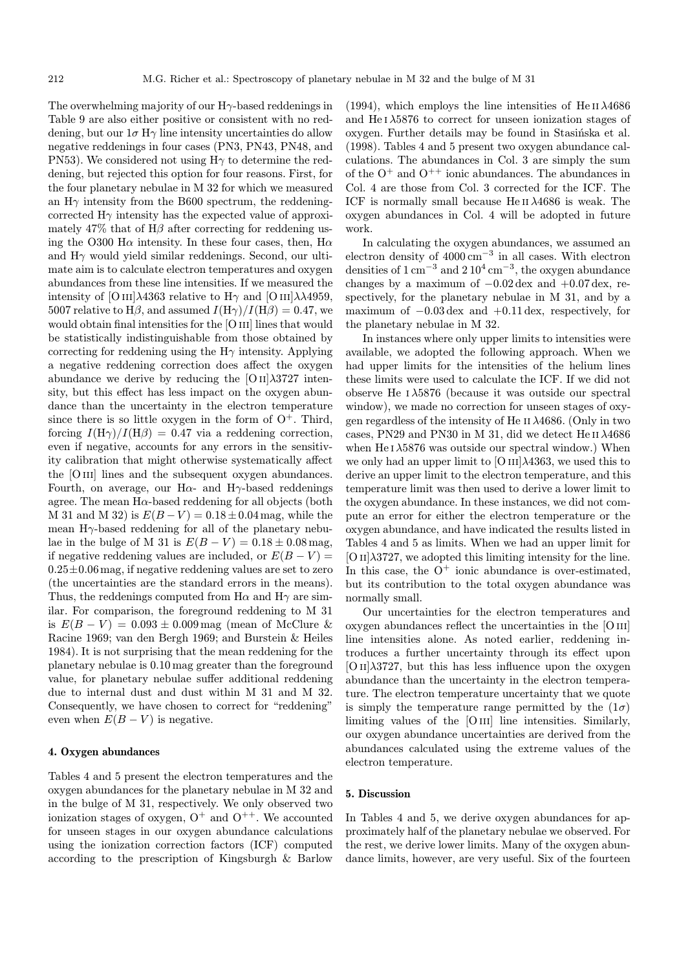The overwhelming majority of our  $H\gamma$ -based reddenings in Table 9 are also either positive or consistent with no reddening, but our  $1\sigma$  H $\gamma$  line intensity uncertainties do allow negative reddenings in four cases (PN3, PN43, PN48, and PN53). We considered not using  $H\gamma$  to determine the reddening, but rejected this option for four reasons. First, for the four planetary nebulae in M 32 for which we measured an  $H\gamma$  intensity from the B600 spectrum, the reddeningcorrected  $H\gamma$  intensity has the expected value of approximately 47% that of  $H\beta$  after correcting for reddening using the O300 H $\alpha$  intensity. In these four cases, then, H $\alpha$ and  $H\gamma$  would yield similar reddenings. Second, our ultimate aim is to calculate electron temperatures and oxygen abundances from these line intensities. If we measured the intensity of [O III] $\lambda$ 4363 relative to H $\gamma$  and [O III] $\lambda\lambda$ 4959, 5007 relative to H $\beta$ , and assumed  $I(H\gamma)/I(H\beta)=0.47$ , we would obtain final intensities for the [O III] lines that would be statistically indistinguishable from those obtained by correcting for reddening using the  $H\gamma$  intensity. Applying a negative reddening correction does affect the oxygen abundance we derive by reducing the  $[O II]\lambda3727$  intensity, but this effect has less impact on the oxygen abundance than the uncertainty in the electron temperature since there is so little oxygen in the form of  $O^+$ . Third, forcing  $I(H\gamma)/I(H\beta)=0.47$  via a reddening correction, even if negative, accounts for any errors in the sensitivity calibration that might otherwise systematically affect the [O III] lines and the subsequent oxygen abundances. Fourth, on average, our H $\alpha$ - and H $\gamma$ -based reddenings agree. The mean  $H\alpha$ -based reddening for all objects (both M 31 and M 32) is  $E(B-V) = 0.18 \pm 0.04$  mag, while the mean  $H\gamma$ -based reddening for all of the planetary nebulae in the bulge of M 31 is  $E(B - V) = 0.18 \pm 0.08$  mag, if negative reddening values are included, or  $E(B-V)$  =  $0.25\pm0.06$  mag, if negative reddening values are set to zero (the uncertainties are the standard errors in the means). Thus, the reddenings computed from  $H\alpha$  and  $H\gamma$  are similar. For comparison, the foreground reddening to M 31 is  $E(B - V) = 0.093 \pm 0.009$  mag (mean of McClure & Racine 1969; van den Bergh 1969; and Burstein & Heiles 1984). It is not surprising that the mean reddening for the planetary nebulae is 0.10 mag greater than the foreground value, for planetary nebulae suffer additional reddening due to internal dust and dust within M 31 and M 32. Consequently, we have chosen to correct for "reddening" even when  $E(B - V)$  is negative.

### 4. Oxygen abundances

Tables 4 and 5 present the electron temperatures and the oxygen abundances for the planetary nebulae in M 32 and in the bulge of M 31, respectively. We only observed two ionization stages of oxygen,  $O^+$  and  $O^{++}$ . We accounted for unseen stages in our oxygen abundance calculations using the ionization correction factors (ICF) computed according to the prescription of Kingsburgh & Barlow

(1994), which employs the line intensities of He II  $\lambda$ 4686 and He  $I \lambda 5876$  to correct for unseen ionization stages of oxygen. Further details may be found in Stasinska et al. (1998). Tables 4 and 5 present two oxygen abundance calculations. The abundances in Col. 3 are simply the sum of the  $O^+$  and  $O^{++}$  ionic abundances. The abundances in Col. 4 are those from Col. 3 corrected for the ICF. The ICF is normally small because He II $\lambda$ 4686 is weak. The oxygen abundances in Col. 4 will be adopted in future work.

In calculating the oxygen abundances, we assumed an electron density of  $4000 \text{ cm}^{-3}$  in all cases. With electron densities of  $1 \text{ cm}^{-3}$  and  $2 \text{ 10}^4 \text{ cm}^{-3}$ , the oxygen abundance changes by a maximum of  $-0.02 \text{ dex}$  and  $+0.07 \text{ dex}$ , respectively, for the planetary nebulae in M 31, and by a maximum of −0.03 dex and +0.11 dex, respectively, for the planetary nebulae in M 32.

In instances where only upper limits to intensities were available, we adopted the following approach. When we had upper limits for the intensities of the helium lines these limits were used to calculate the ICF. If we did not observe He  $I \lambda 5876$  (because it was outside our spectral window), we made no correction for unseen stages of oxygen regardless of the intensity of He II  $\lambda$ 4686. (Only in two cases, PN29 and PN30 in M 31, did we detect He II  $\lambda 4686$ when He  $1\lambda5876$  was outside our spectral window.) When we only had an upper limit to  $[O III]\lambda4363$ , we used this to derive an upper limit to the electron temperature, and this temperature limit was then used to derive a lower limit to the oxygen abundance. In these instances, we did not compute an error for either the electron temperature or the oxygen abundance, and have indicated the results listed in Tables 4 and 5 as limits. When we had an upper limit for  $[O II]\lambda3727$ , we adopted this limiting intensity for the line. In this case, the  $O^+$  ionic abundance is over-estimated, but its contribution to the total oxygen abundance was normally small.

Our uncertainties for the electron temperatures and oxygen abundances reflect the uncertainties in the [O iii] line intensities alone. As noted earlier, reddening introduces a further uncertainty through its effect upon  $[O II]\lambda3727$ , but this has less influence upon the oxygen abundance than the uncertainty in the electron temperature. The electron temperature uncertainty that we quote is simply the temperature range permitted by the  $(1\sigma)$ limiting values of the  $[O\,\text{III}]$  line intensities. Similarly, our oxygen abundance uncertainties are derived from the abundances calculated using the extreme values of the electron temperature.

#### 5. Discussion

In Tables 4 and 5, we derive oxygen abundances for approximately half of the planetary nebulae we observed. For the rest, we derive lower limits. Many of the oxygen abundance limits, however, are very useful. Six of the fourteen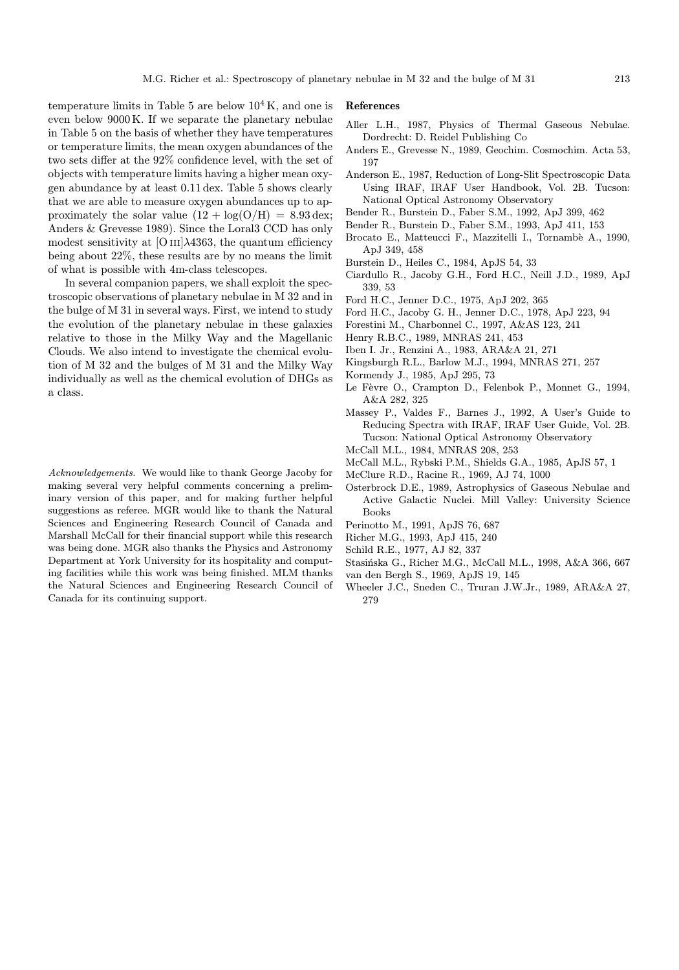temperature limits in Table 5 are below  $10^4$  K, and one is even below 9000 K. If we separate the planetary nebulae in Table 5 on the basis of whether they have temperatures or temperature limits, the mean oxygen abundances of the two sets differ at the 92% confidence level, with the set of objects with temperature limits having a higher mean oxygen abundance by at least 0.11 dex. Table 5 shows clearly that we are able to measure oxygen abundances up to approximately the solar value  $(12 + \log(O/H)) = 8.93 \text{ dex}$ ; Anders & Grevesse 1989). Since the Loral3 CCD has only modest sensitivity at  $[OIII]\lambda4363$ , the quantum efficiency being about 22%, these results are by no means the limit of what is possible with 4m-class telescopes.

In several companion papers, we shall exploit the spectroscopic observations of planetary nebulae in M 32 and in the bulge of M 31 in several ways. First, we intend to study the evolution of the planetary nebulae in these galaxies relative to those in the Milky Way and the Magellanic Clouds. We also intend to investigate the chemical evolution of M 32 and the bulges of M 31 and the Milky Way individually as well as the chemical evolution of DHGs as a class.

Acknowledgements. We would like to thank George Jacoby for making several very helpful comments concerning a preliminary version of this paper, and for making further helpful suggestions as referee. MGR would like to thank the Natural Sciences and Engineering Research Council of Canada and Marshall McCall for their financial support while this research was being done. MGR also thanks the Physics and Astronomy Department at York University for its hospitality and computing facilities while this work was being finished. MLM thanks the Natural Sciences and Engineering Research Council of Canada for its continuing support.

#### References

- Aller L.H., 1987, Physics of Thermal Gaseous Nebulae. Dordrecht: D. Reidel Publishing Co
- Anders E., Grevesse N., 1989, Geochim. Cosmochim. Acta 53, 197
- Anderson E., 1987, Reduction of Long-Slit Spectroscopic Data Using IRAF, IRAF User Handbook, Vol. 2B. Tucson: National Optical Astronomy Observatory
- Bender R., Burstein D., Faber S.M., 1992, ApJ 399, 462
- Bender R., Burstein D., Faber S.M., 1993, ApJ 411, 153
- Brocato E., Matteucci F., Mazzitelli I., Tornambè A., 1990, ApJ 349, 458
- Burstein D., Heiles C., 1984, ApJS 54, 33
- Ciardullo R., Jacoby G.H., Ford H.C., Neill J.D., 1989, ApJ 339, 53
- Ford H.C., Jenner D.C., 1975, ApJ 202, 365
- Ford H.C., Jacoby G. H., Jenner D.C., 1978, ApJ 223, 94
- Forestini M., Charbonnel C., 1997, A&AS 123, 241
- Henry R.B.C., 1989, MNRAS 241, 453
- Iben I. Jr., Renzini A., 1983, ARA&A 21, 271
- Kingsburgh R.L., Barlow M.J., 1994, MNRAS 271, 257
- Kormendy J., 1985, ApJ 295, 73
- Le Fèvre O., Crampton D., Felenbok P., Monnet G., 1994, A&A 282, 325
- Massey P., Valdes F., Barnes J., 1992, A User's Guide to Reducing Spectra with IRAF, IRAF User Guide, Vol. 2B. Tucson: National Optical Astronomy Observatory
- McCall M.L., 1984, MNRAS 208, 253
- McCall M.L., Rybski P.M., Shields G.A., 1985, ApJS 57, 1
- McClure R.D., Racine R., 1969, AJ 74, 1000
- Osterbrock D.E., 1989, Astrophysics of Gaseous Nebulae and Active Galactic Nuclei. Mill Valley: University Science Books
- Perinotto M., 1991, ApJS 76, 687
- Richer M.G., 1993, ApJ 415, 240
- Schild R.E., 1977, AJ 82, 337
- Stasińska G., Richer M.G., McCall M.L., 1998, A&A 366, 667
- van den Bergh S., 1969, ApJS 19, 145
- Wheeler J.C., Sneden C., Truran J.W.Jr., 1989, ARA&A 27, 279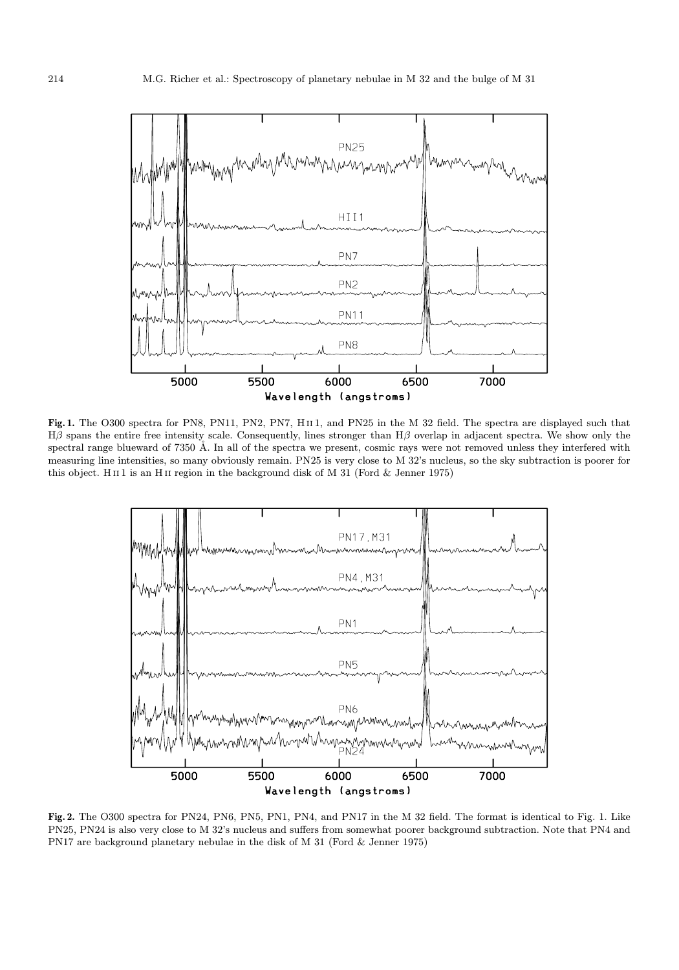

Fig. 1. The O300 spectra for PN8, PN11, PN2, PN7, HII1, and PN25 in the M 32 field. The spectra are displayed such that Hβ spans the entire free intensity scale. Consequently, lines stronger than Hβ overlap in adjacent spectra. We show only the spectral range blueward of 7350 Å. In all of the spectra we present, cosmic rays were not removed unless they interfered with measuring line intensities, so many obviously remain. PN25 is very close to M 32's nucleus, so the sky subtraction is poorer for this object. H $\scriptstyle\rm II$ 1 is an H $\scriptstyle\rm II$  region in the background disk of M 31 (Ford & Jenner 1975)



Fig. 2. The O300 spectra for PN24, PN6, PN5, PN1, PN4, and PN17 in the M 32 field. The format is identical to Fig. 1. Like PN25, PN24 is also very close to M 32's nucleus and suffers from somewhat poorer background subtraction. Note that PN4 and PN17 are background planetary nebulae in the disk of M 31 (Ford & Jenner 1975)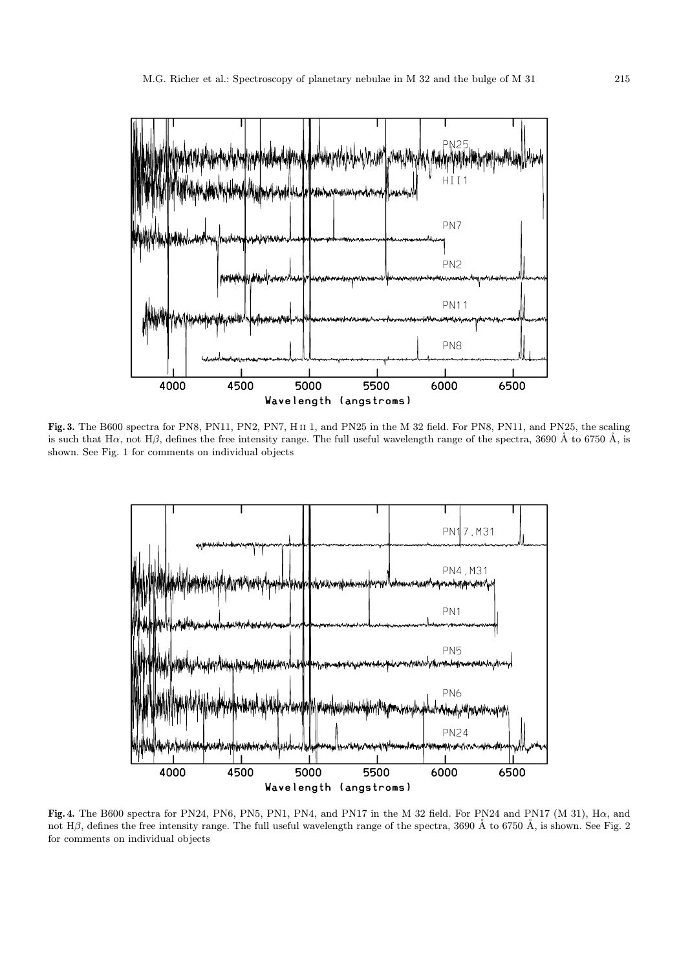

Fig. 3. The B600 spectra for PN8, PN11, PN2, PN7, H ii 1, and PN25 in the M 32 field. For PN8, PN11, and PN25, the scaling is such that H $\alpha$ , not H $\beta$ , defines the free intensity range. The full useful wavelength range of the spectra, 3690 Å to 6750 Å, is shown. See Fig. 1 for comments on individual objects



Fig. 4. The B600 spectra for PN24, PN6, PN5, PN1, PN4, and PN17 in the M 32 field. For PN24 and PN17 (M 31), Hα, and not Hβ, defines the free intensity range. The full useful wavelength range of the spectra, 3690 Å to 6750 Å, is shown. See Fig. 2 for comments on individual objects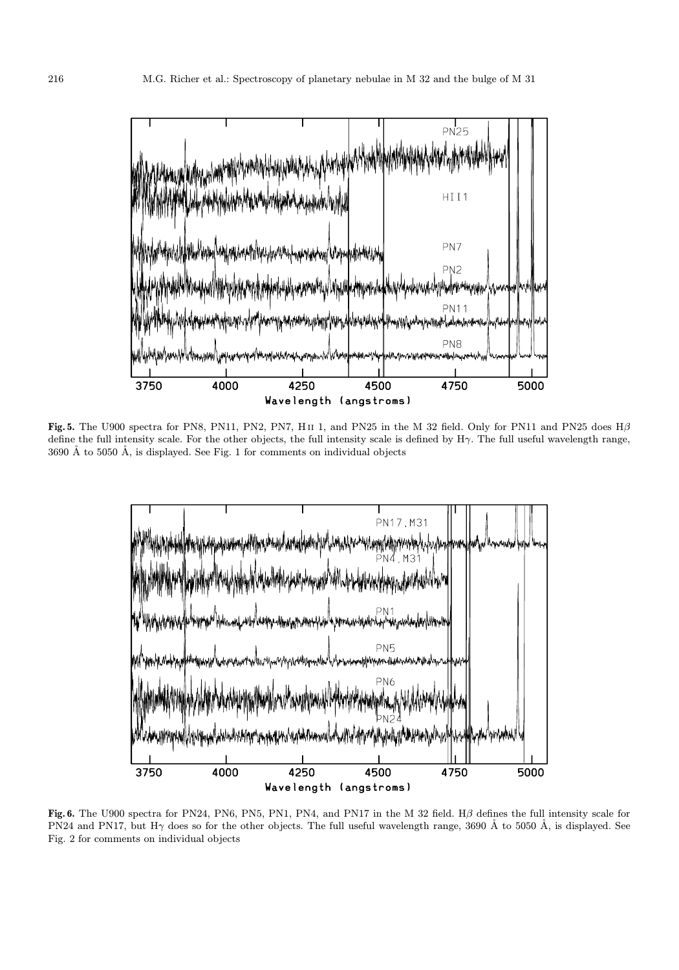

Fig. 5. The U900 spectra for PN8, PN11, PN2, PN7, H $\scriptstyle\rm II$  1, and PN25 in the M 32 field. Only for PN11 and PN25 does H $\beta$ define the full intensity scale. For the other objects, the full intensity scale is defined by  $H\gamma$ . The full useful wavelength range,  $3690 \text{ Å}$  to  $5050 \text{ Å}$ , is displayed. See Fig. 1 for comments on individual objects



Fig. 6. The U900 spectra for PN24, PN6, PN5, PN1, PN4, and PN17 in the M 32 field. Hβ defines the full intensity scale for PN24 and PN17, but H $\gamma$  does so for the other objects. The full useful wavelength range, 3690 Å to 5050 Å, is displayed. See Fig. 2 for comments on individual objects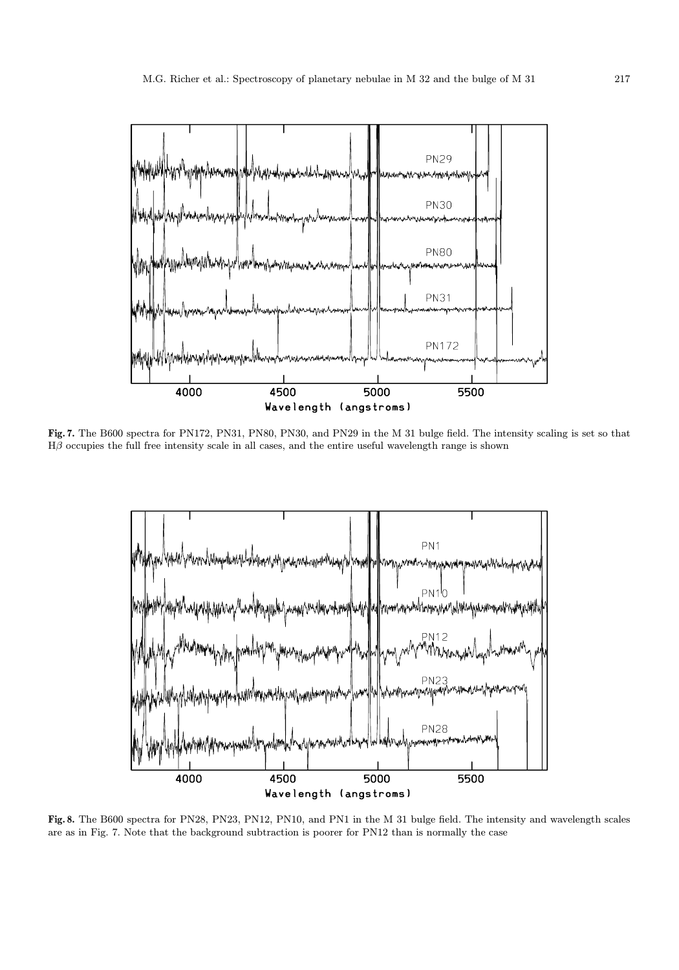

Fig. 7. The B600 spectra for PN172, PN31, PN80, PN30, and PN29 in the M 31 bulge field. The intensity scaling is set so that  $H\beta$  occupies the full free intensity scale in all cases, and the entire useful wavelength range is shown



Fig. 8. The B600 spectra for PN28, PN23, PN12, PN10, and PN1 in the M 31 bulge field. The intensity and wavelength scales are as in Fig. 7. Note that the background subtraction is poorer for PN12 than is normally the case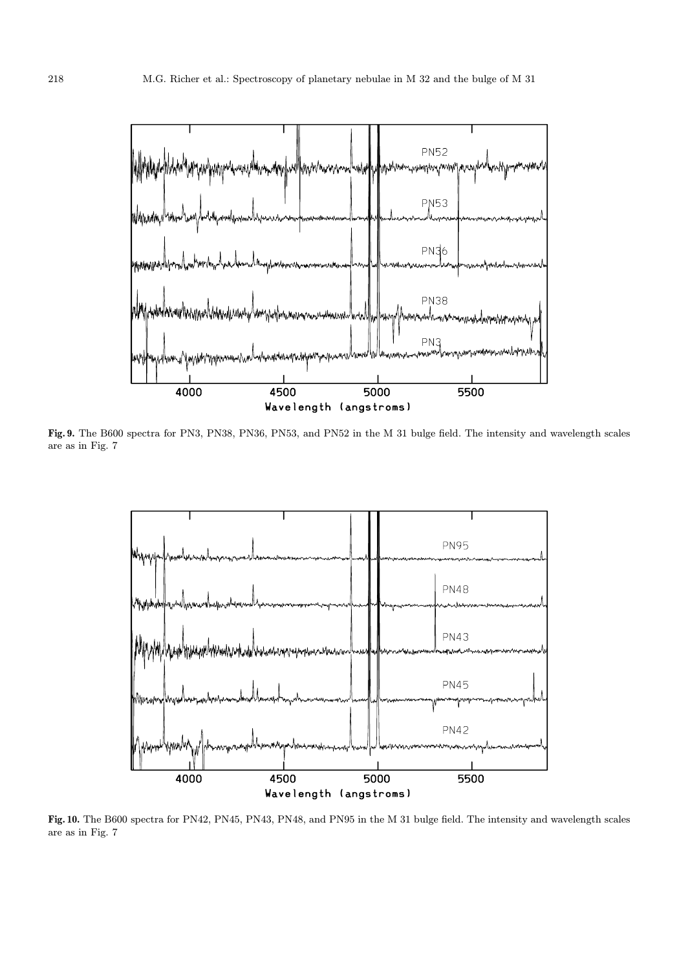

Fig. 9. The B600 spectra for PN3, PN38, PN36, PN53, and PN52 in the M 31 bulge field. The intensity and wavelength scales are as in Fig. 7



Fig. 10. The B600 spectra for PN42, PN45, PN43, PN48, and PN95 in the M 31 bulge field. The intensity and wavelength scales are as in Fig. 7